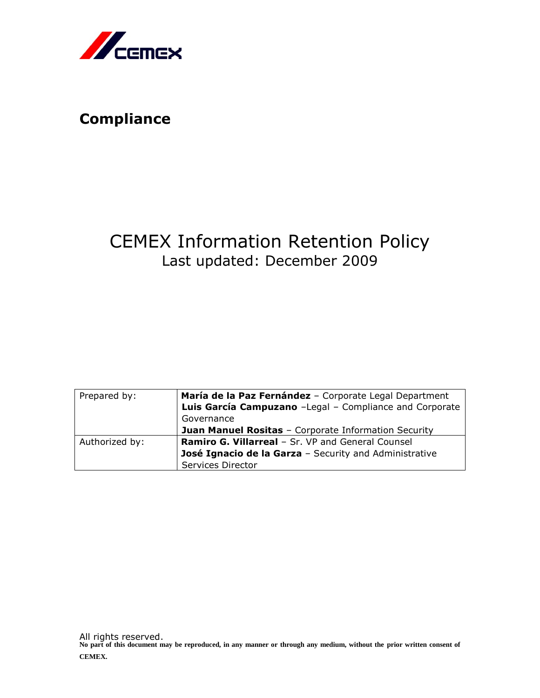

## **Compliance**

# CEMEX Information Retention Policy Last updated: December 2009

| Prepared by:   | María de la Paz Fernández - Corporate Legal Department  |
|----------------|---------------------------------------------------------|
|                | Luis García Campuzano -Legal - Compliance and Corporate |
|                | Governance                                              |
|                | Juan Manuel Rositas - Corporate Information Security    |
| Authorized by: | Ramiro G. Villarreal - Sr. VP and General Counsel       |
|                | José Ignacio de la Garza - Security and Administrative  |
|                | Services Director                                       |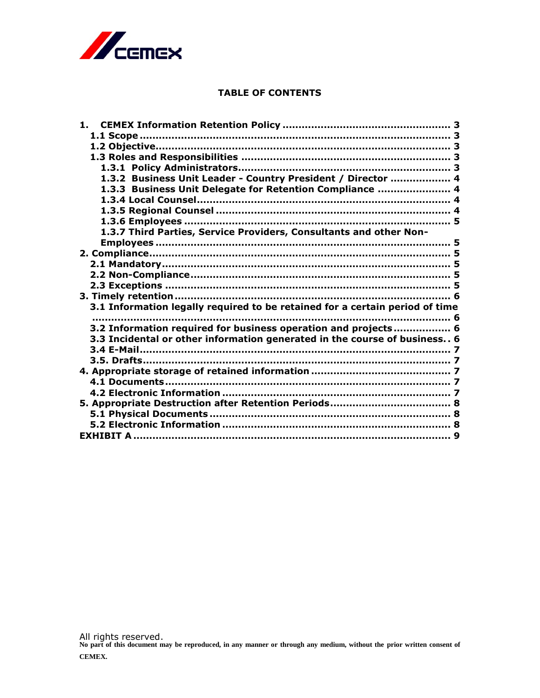

#### **TABLE OF CONTENTS**

| 1.                                                                           |  |
|------------------------------------------------------------------------------|--|
|                                                                              |  |
|                                                                              |  |
|                                                                              |  |
|                                                                              |  |
| 1.3.2 Business Unit Leader - Country President / Director  4                 |  |
| 1.3.3 Business Unit Delegate for Retention Compliance  4                     |  |
|                                                                              |  |
|                                                                              |  |
|                                                                              |  |
| 1.3.7 Third Parties, Service Providers, Consultants and other Non-           |  |
|                                                                              |  |
|                                                                              |  |
|                                                                              |  |
|                                                                              |  |
|                                                                              |  |
|                                                                              |  |
| 3.1 Information legally required to be retained for a certain period of time |  |
|                                                                              |  |
| 3.2 Information required for business operation and projects 6               |  |
| 3.3 Incidental or other information generated in the course of business 6    |  |
|                                                                              |  |
|                                                                              |  |
|                                                                              |  |
|                                                                              |  |
|                                                                              |  |
|                                                                              |  |
|                                                                              |  |
|                                                                              |  |
|                                                                              |  |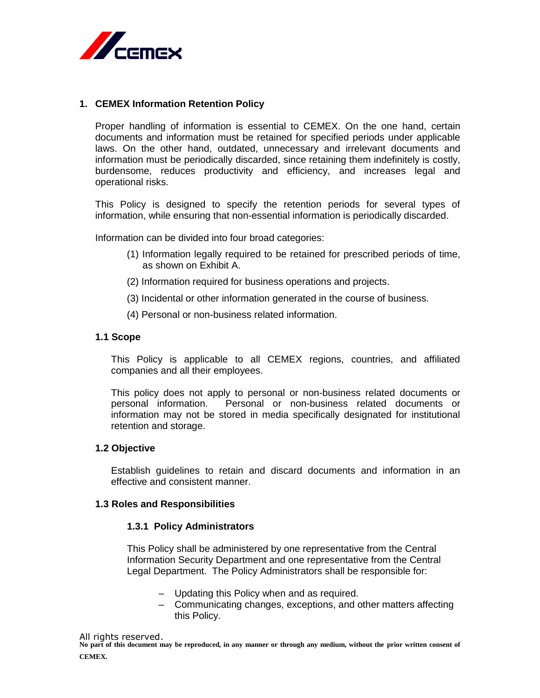

#### <span id="page-2-0"></span>**1. CEMEX Information Retention Policy**

Proper handling of information is essential to CEMEX. On the one hand, certain documents and information must be retained for specified periods under applicable laws. On the other hand, outdated, unnecessary and irrelevant documents and information must be periodically discarded, since retaining them indefinitely is costly, burdensome, reduces productivity and efficiency, and increases legal and operational risks.

This Policy is designed to specify the retention periods for several types of information, while ensuring that non-essential information is periodically discarded.

Information can be divided into four broad categories:

- (1) Information legally required to be retained for prescribed periods of time, as shown on Exhibit A.
- (2) Information required for business operations and projects.
- (3) Incidental or other information generated in the course of business.
- (4) Personal or non-business related information.

#### <span id="page-2-1"></span>**1.1 Scope**

This Policy is applicable to all CEMEX regions, countries, and affiliated companies and all their employees.

This policy does not apply to personal or non-business related documents or personal information. Personal or non-business related documents or information may not be stored in media specifically designated for institutional retention and storage.

#### <span id="page-2-2"></span>**1.2 Objective**

Establish guidelines to retain and discard documents and information in an effective and consistent manner.

#### <span id="page-2-4"></span><span id="page-2-3"></span>**1.3 Roles and Responsibilities**

#### **1.3.1 Policy Administrators**

This Policy shall be administered by one representative from the Central Information Security Department and one representative from the Central Legal Department. The Policy Administrators shall be responsible for:

- Updating this Policy when and as required.
- Communicating changes, exceptions, and other matters affecting this Policy.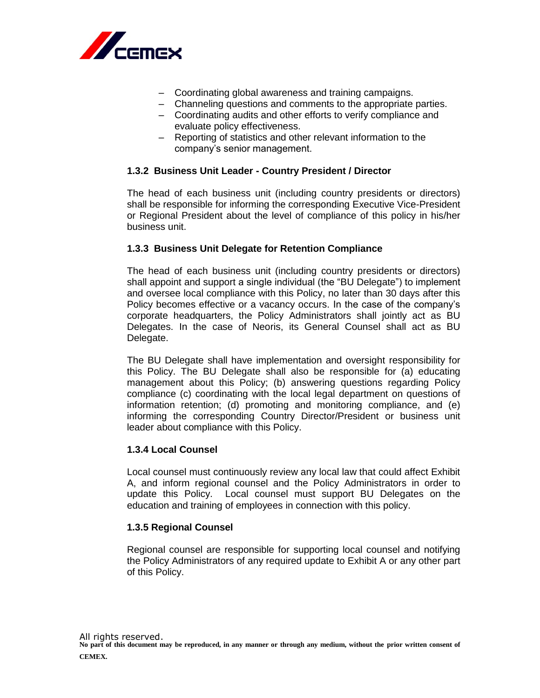

- Coordinating global awareness and training campaigns.
- Channeling questions and comments to the appropriate parties.
- Coordinating audits and other efforts to verify compliance and evaluate policy effectiveness.
- Reporting of statistics and other relevant information to the company's senior management.

## <span id="page-3-0"></span>**1.3.2 Business Unit Leader - Country President / Director**

The head of each business unit (including country presidents or directors) shall be responsible for informing the corresponding Executive Vice-President or Regional President about the level of compliance of this policy in his/her business unit.

## <span id="page-3-1"></span>**1.3.3 Business Unit Delegate for Retention Compliance**

The head of each business unit (including country presidents or directors) shall appoint and support a single individual (the "BU Delegate") to implement and oversee local compliance with this Policy, no later than 30 days after this Policy becomes effective or a vacancy occurs. In the case of the company's corporate headquarters, the Policy Administrators shall jointly act as BU Delegates. In the case of Neoris, its General Counsel shall act as BU Delegate.

The BU Delegate shall have implementation and oversight responsibility for this Policy. The BU Delegate shall also be responsible for (a) educating management about this Policy; (b) answering questions regarding Policy compliance (c) coordinating with the local legal department on questions of information retention; (d) promoting and monitoring compliance, and (e) informing the corresponding Country Director/President or business unit leader about compliance with this Policy.

## <span id="page-3-2"></span>**1.3.4 Local Counsel**

Local counsel must continuously review any local law that could affect Exhibit A, and inform regional counsel and the Policy Administrators in order to update this Policy. Local counsel must support BU Delegates on the education and training of employees in connection with this policy.

## <span id="page-3-3"></span>**1.3.5 Regional Counsel**

Regional counsel are responsible for supporting local counsel and notifying the Policy Administrators of any required update to Exhibit A or any other part of this Policy.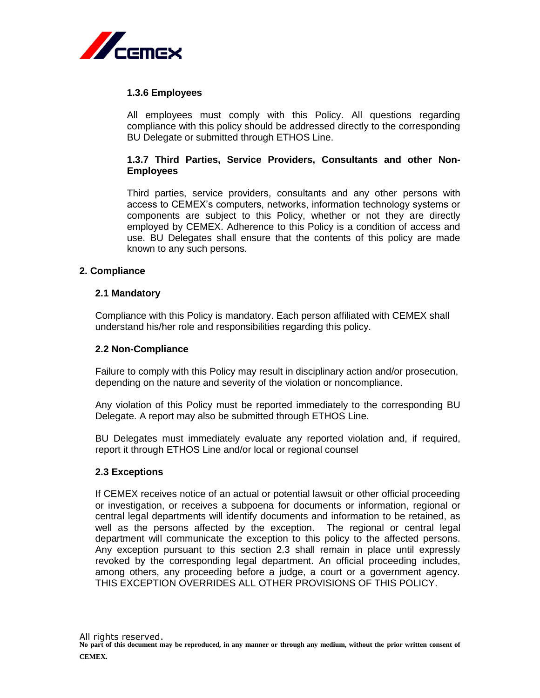

#### <span id="page-4-0"></span>**1.3.6 Employees**

All employees must comply with this Policy. All questions regarding compliance with this policy should be addressed directly to the corresponding BU Delegate or submitted through ETHOS Line.

## <span id="page-4-1"></span>**1.3.7 Third Parties, Service Providers, Consultants and other Non-Employees**

Third parties, service providers, consultants and any other persons with access to CEMEX's computers, networks, information technology systems or components are subject to this Policy, whether or not they are directly employed by CEMEX. Adherence to this Policy is a condition of access and use. BU Delegates shall ensure that the contents of this policy are made known to any such persons.

#### <span id="page-4-2"></span>**2. Compliance**

#### <span id="page-4-3"></span>**2.1 Mandatory**

Compliance with this Policy is mandatory. Each person affiliated with CEMEX shall understand his/her role and responsibilities regarding this policy.

#### <span id="page-4-4"></span>**2.2 Non-Compliance**

Failure to comply with this Policy may result in disciplinary action and/or prosecution, depending on the nature and severity of the violation or noncompliance.

Any violation of this Policy must be reported immediately to the corresponding BU Delegate. A report may also be submitted through ETHOS Line.

BU Delegates must immediately evaluate any reported violation and, if required, report it through ETHOS Line and/or local or regional counsel

#### <span id="page-4-5"></span>**2.3 Exceptions**

If CEMEX receives notice of an actual or potential lawsuit or other official proceeding or investigation, or receives a subpoena for documents or information, regional or central legal departments will identify documents and information to be retained, as well as the persons affected by the exception. The regional or central legal department will communicate the exception to this policy to the affected persons. Any exception pursuant to this section 2.3 shall remain in place until expressly revoked by the corresponding legal department. An official proceeding includes, among others, any proceeding before a judge, a court or a government agency. THIS EXCEPTION OVERRIDES ALL OTHER PROVISIONS OF THIS POLICY.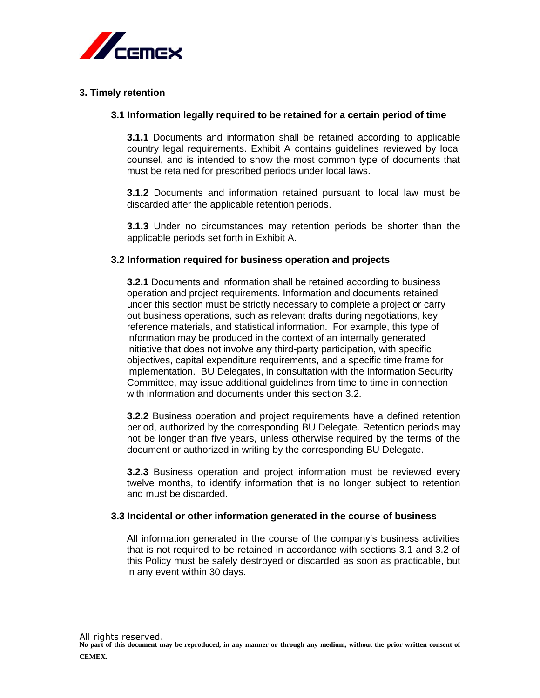

## <span id="page-5-1"></span><span id="page-5-0"></span>**3. Timely retention**

#### **3.1 Information legally required to be retained for a certain period of time**

**3.1.1** Documents and information shall be retained according to applicable country legal requirements. Exhibit A contains guidelines reviewed by local counsel, and is intended to show the most common type of documents that must be retained for prescribed periods under local laws.

**3.1.2** Documents and information retained pursuant to local law must be discarded after the applicable retention periods.

**3.1.3** Under no circumstances may retention periods be shorter than the applicable periods set forth in Exhibit A.

#### <span id="page-5-2"></span>**3.2 Information required for business operation and projects**

**3.2.1** Documents and information shall be retained according to business operation and project requirements. Information and documents retained under this section must be strictly necessary to complete a project or carry out business operations, such as relevant drafts during negotiations, key reference materials, and statistical information. For example, this type of information may be produced in the context of an internally generated initiative that does not involve any third-party participation, with specific objectives, capital expenditure requirements, and a specific time frame for implementation. BU Delegates, in consultation with the Information Security Committee, may issue additional guidelines from time to time in connection with information and documents under this section 3.2.

**3.2.2** Business operation and project requirements have a defined retention period, authorized by the corresponding BU Delegate. Retention periods may not be longer than five years, unless otherwise required by the terms of the document or authorized in writing by the corresponding BU Delegate.

**3.2.3** Business operation and project information must be reviewed every twelve months, to identify information that is no longer subject to retention and must be discarded.

#### <span id="page-5-3"></span>**3.3 Incidental or other information generated in the course of business**

All information generated in the course of the company's business activities that is not required to be retained in accordance with sections 3.1 and 3.2 of this Policy must be safely destroyed or discarded as soon as practicable, but in any event within 30 days.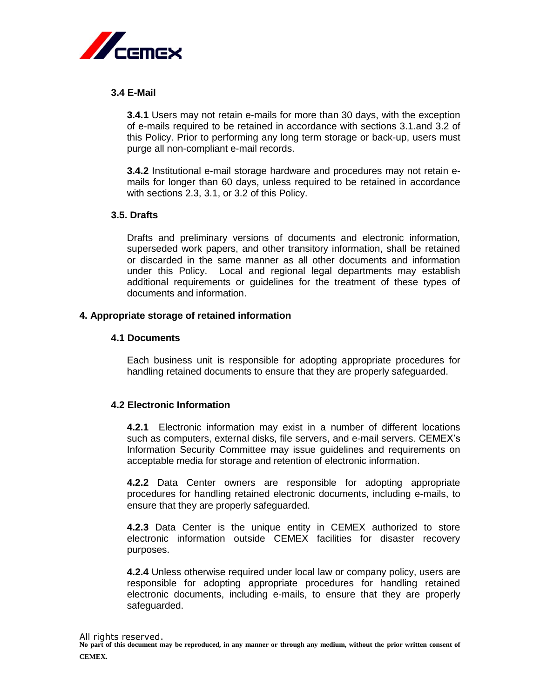

## <span id="page-6-0"></span>**3.4 E-Mail**

**3.4.1** Users may not retain e-mails for more than 30 days, with the exception of e-mails required to be retained in accordance with sections 3.1.and 3.2 of this Policy. Prior to performing any long term storage or back-up, users must purge all non-compliant e-mail records.

**3.4.2** Institutional e-mail storage hardware and procedures may not retain emails for longer than 60 days, unless required to be retained in accordance with sections 2.3, 3.1, or 3.2 of this Policy.

#### <span id="page-6-1"></span>**3.5. Drafts**

Drafts and preliminary versions of documents and electronic information, superseded work papers, and other transitory information, shall be retained or discarded in the same manner as all other documents and information under this Policy. Local and regional legal departments may establish additional requirements or guidelines for the treatment of these types of documents and information.

#### <span id="page-6-3"></span><span id="page-6-2"></span>**4. Appropriate storage of retained information**

#### **4.1 Documents**

Each business unit is responsible for adopting appropriate procedures for handling retained documents to ensure that they are properly safeguarded.

## <span id="page-6-4"></span>**4.2 Electronic Information**

**4.2.1** Electronic information may exist in a number of different locations such as computers, external disks, file servers, and e-mail servers. CEMEX's Information Security Committee may issue guidelines and requirements on acceptable media for storage and retention of electronic information.

**4.2.2** Data Center owners are responsible for adopting appropriate procedures for handling retained electronic documents, including e-mails, to ensure that they are properly safeguarded.

**4.2.3** Data Center is the unique entity in CEMEX authorized to store electronic information outside CEMEX facilities for disaster recovery purposes.

**4.2.4** Unless otherwise required under local law or company policy, users are responsible for adopting appropriate procedures for handling retained electronic documents, including e-mails, to ensure that they are properly safeguarded.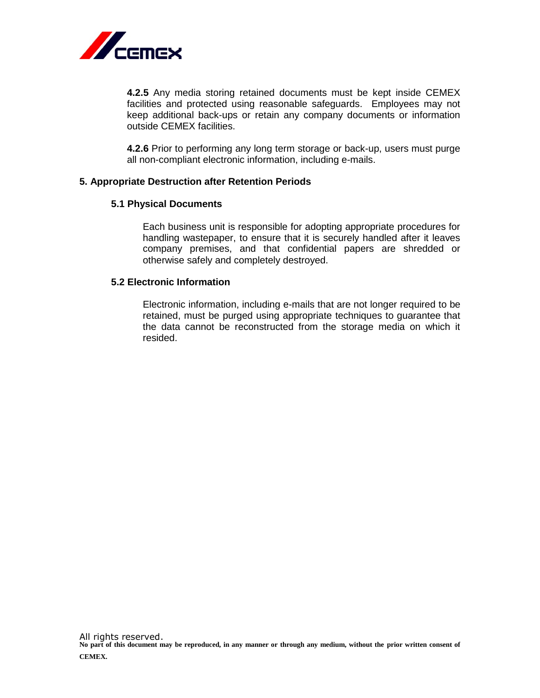

**4.2.5** Any media storing retained documents must be kept inside CEMEX facilities and protected using reasonable safeguards. Employees may not keep additional back-ups or retain any company documents or information outside CEMEX facilities.

**4.2.6** Prior to performing any long term storage or back-up, users must purge all non-compliant electronic information, including e-mails.

#### <span id="page-7-1"></span><span id="page-7-0"></span>**5. Appropriate Destruction after Retention Periods**

#### **5.1 Physical Documents**

Each business unit is responsible for adopting appropriate procedures for handling wastepaper, to ensure that it is securely handled after it leaves company premises, and that confidential papers are shredded or otherwise safely and completely destroyed.

#### <span id="page-7-2"></span>**5.2 Electronic Information**

Electronic information, including e-mails that are not longer required to be retained, must be purged using appropriate techniques to guarantee that the data cannot be reconstructed from the storage media on which it resided.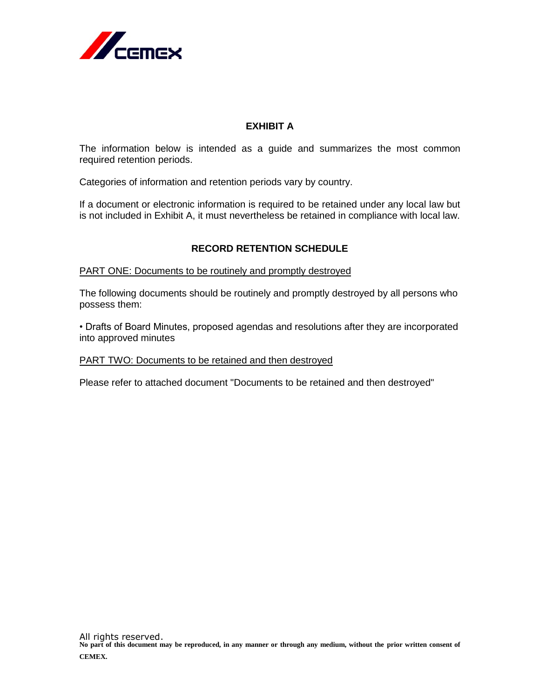

## **EXHIBIT A**

<span id="page-8-0"></span>The information below is intended as a guide and summarizes the most common required retention periods.

Categories of information and retention periods vary by country.

If a document or electronic information is required to be retained under any local law but is not included in Exhibit A, it must nevertheless be retained in compliance with local law.

## **RECORD RETENTION SCHEDULE**

PART ONE: Documents to be routinely and promptly destroyed

The following documents should be routinely and promptly destroyed by all persons who possess them:

• Drafts of Board Minutes, proposed agendas and resolutions after they are incorporated into approved minutes

#### PART TWO: Documents to be retained and then destroyed

Please refer to attached document "Documents to be retained and then destroyed"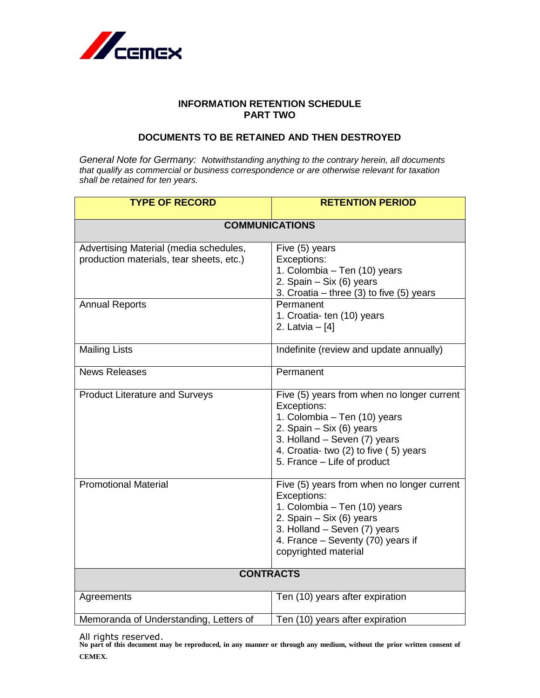

## **INFORMATION RETENTION SCHEDULE PART TWO**

## **DOCUMENTS TO BE RETAINED AND THEN DESTROYED**

*General Note for Germany: Notwithstanding anything to the contrary herein, all documents that qualify as commercial or business correspondence or are otherwise relevant for taxation shall be retained for ten years.*

| <b>TYPE OF RECORD</b>                                                              | <b>RETENTION PERIOD</b>                                                                                                                                                                                                         |  |
|------------------------------------------------------------------------------------|---------------------------------------------------------------------------------------------------------------------------------------------------------------------------------------------------------------------------------|--|
| <b>COMMUNICATIONS</b>                                                              |                                                                                                                                                                                                                                 |  |
| Advertising Material (media schedules,<br>production materials, tear sheets, etc.) | Five (5) years<br>Exceptions:<br>1. Colombia - Ten (10) years<br>2. Spain - Six (6) years<br>3. Croatia – three $(3)$ to five $(5)$ years                                                                                       |  |
| <b>Annual Reports</b>                                                              | Permanent<br>1. Croatia- ten (10) years<br>2. Latvia - [4]                                                                                                                                                                      |  |
| <b>Mailing Lists</b>                                                               | Indefinite (review and update annually)                                                                                                                                                                                         |  |
| <b>News Releases</b>                                                               | Permanent                                                                                                                                                                                                                       |  |
| <b>Product Literature and Surveys</b>                                              | Five (5) years from when no longer current<br>Exceptions:<br>1. Colombia - Ten (10) years<br>2. Spain $-$ Six (6) years<br>3. Holland - Seven (7) years<br>4. Croatia- two (2) to five (5) years<br>5. France – Life of product |  |
| <b>Promotional Material</b>                                                        | Five (5) years from when no longer current<br>Exceptions:<br>1. Colombia - Ten (10) years<br>2. Spain $-$ Six (6) years<br>3. Holland - Seven (7) years<br>4. France - Seventy (70) years if<br>copyrighted material            |  |
| <b>CONTRACTS</b>                                                                   |                                                                                                                                                                                                                                 |  |
| Agreements                                                                         | Ten (10) years after expiration                                                                                                                                                                                                 |  |
| Memoranda of Understanding, Letters of                                             | Ten (10) years after expiration                                                                                                                                                                                                 |  |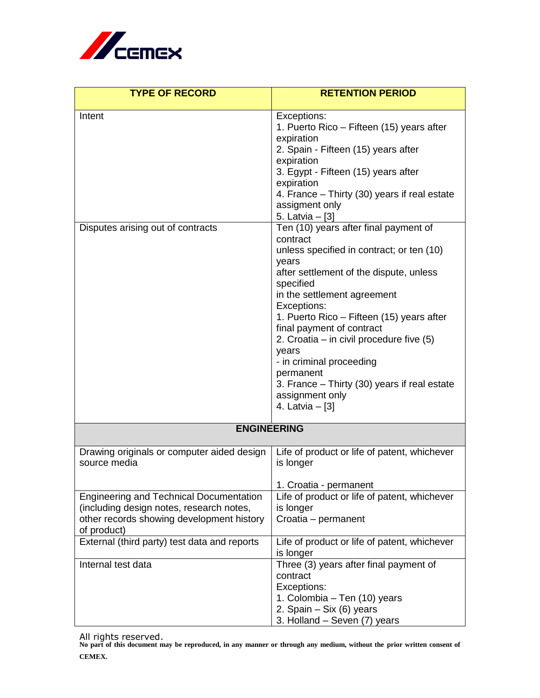

| <b>TYPE OF RECORD</b>                                                                                                                                  | <b>RETENTION PERIOD</b>                                                                                                                                                                                                                                                                                                                                                                                                                                                                                                                                                                                                                                                                                                                                |
|--------------------------------------------------------------------------------------------------------------------------------------------------------|--------------------------------------------------------------------------------------------------------------------------------------------------------------------------------------------------------------------------------------------------------------------------------------------------------------------------------------------------------------------------------------------------------------------------------------------------------------------------------------------------------------------------------------------------------------------------------------------------------------------------------------------------------------------------------------------------------------------------------------------------------|
| Intent<br>Disputes arising out of contracts                                                                                                            | Exceptions:<br>1. Puerto Rico – Fifteen (15) years after<br>expiration<br>2. Spain - Fifteen (15) years after<br>expiration<br>3. Egypt - Fifteen (15) years after<br>expiration<br>4. France - Thirty (30) years if real estate<br>assigment only<br>5. Latvia - [3]<br>Ten (10) years after final payment of<br>contract<br>unless specified in contract; or ten (10)<br>years<br>after settlement of the dispute, unless<br>specified<br>in the settlement agreement<br>Exceptions:<br>1. Puerto Rico – Fifteen (15) years after<br>final payment of contract<br>2. Croatia – in civil procedure five $(5)$<br>years<br>- in criminal proceeding<br>permanent<br>3. France – Thirty (30) years if real estate<br>assignment only<br>4. Latvia – [3] |
| <b>ENGINEERING</b>                                                                                                                                     |                                                                                                                                                                                                                                                                                                                                                                                                                                                                                                                                                                                                                                                                                                                                                        |
| Drawing originals or computer aided design<br>source media                                                                                             | Life of product or life of patent, whichever<br>is longer<br>1. Croatia - permanent                                                                                                                                                                                                                                                                                                                                                                                                                                                                                                                                                                                                                                                                    |
| <b>Engineering and Technical Documentation</b><br>(including design notes, research notes,<br>other records showing development history<br>of product) | Life of product or life of patent, whichever<br>is longer<br>Croatia - permanent                                                                                                                                                                                                                                                                                                                                                                                                                                                                                                                                                                                                                                                                       |
| External (third party) test data and reports                                                                                                           | Life of product or life of patent, whichever<br>is longer                                                                                                                                                                                                                                                                                                                                                                                                                                                                                                                                                                                                                                                                                              |
| Internal test data                                                                                                                                     | Three (3) years after final payment of<br>contract<br>Exceptions:<br>1. Colombia – Ten (10) years<br>2. Spain - Six (6) years<br>3. Holland – Seven (7) years                                                                                                                                                                                                                                                                                                                                                                                                                                                                                                                                                                                          |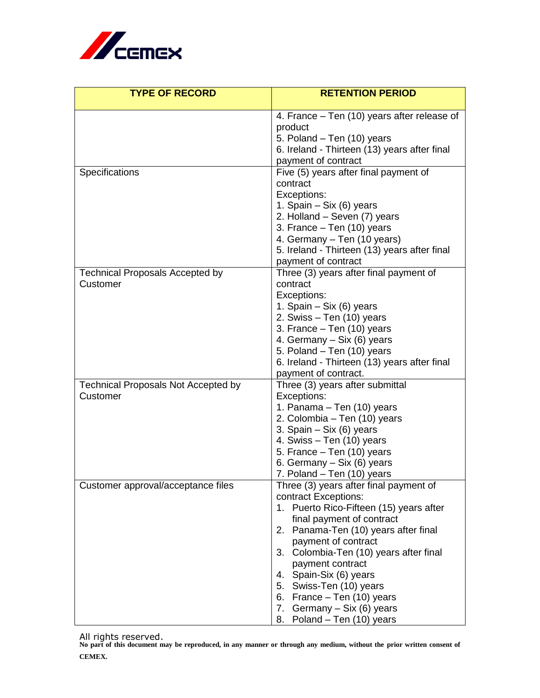

| <b>TYPE OF RECORD</b>                      | <b>RETENTION PERIOD</b>                                     |
|--------------------------------------------|-------------------------------------------------------------|
|                                            | 4. France – Ten (10) years after release of                 |
|                                            | product                                                     |
|                                            | 5. Poland - Ten (10) years                                  |
|                                            | 6. Ireland - Thirteen (13) years after final                |
|                                            | payment of contract                                         |
| Specifications                             | Five (5) years after final payment of                       |
|                                            | contract                                                    |
|                                            | Exceptions:                                                 |
|                                            | 1. Spain - Six (6) years                                    |
|                                            | 2. Holland – Seven (7) years<br>3. France - Ten (10) years  |
|                                            | 4. Germany – Ten (10 years)                                 |
|                                            | 5. Ireland - Thirteen (13) years after final                |
|                                            | payment of contract                                         |
| <b>Technical Proposals Accepted by</b>     | Three (3) years after final payment of                      |
| Customer                                   | contract                                                    |
|                                            | Exceptions:                                                 |
|                                            | 1. Spain - Six (6) years                                    |
|                                            | 2. Swiss - Ten (10) years                                   |
|                                            | 3. France $-$ Ten (10) years<br>4. Germany - Six (6) years  |
|                                            | 5. Poland – Ten (10) years                                  |
|                                            | 6. Ireland - Thirteen (13) years after final                |
|                                            | payment of contract.                                        |
| <b>Technical Proposals Not Accepted by</b> | Three (3) years after submittal                             |
| Customer                                   | Exceptions:                                                 |
|                                            | 1. Panama – Ten (10) years                                  |
|                                            | 2. Colombia – Ten (10) years                                |
|                                            | 3. Spain $-$ Six (6) years<br>4. Swiss - Ten (10) years     |
|                                            | 5. France - Ten (10) years                                  |
|                                            | 6. Germany – Six (6) years                                  |
|                                            | 7. Poland – Ten (10) years                                  |
| Customer approval/acceptance files         | Three (3) years after final payment of                      |
|                                            | contract Exceptions:                                        |
|                                            | 1. Puerto Rico-Fifteen (15) years after                     |
|                                            | final payment of contract                                   |
|                                            | 2. Panama-Ten (10) years after final<br>payment of contract |
|                                            | Colombia-Ten (10) years after final<br>3.                   |
|                                            | payment contract                                            |
|                                            | 4. Spain-Six (6) years                                      |
|                                            | 5. Swiss-Ten (10) years                                     |
|                                            | 6. France - Ten (10) years                                  |
|                                            | 7. Germany - Six (6) years                                  |
|                                            | 8. Poland - Ten (10) years                                  |

All rights reserved. **No part of this document may be reproduced, in any manner or through any medium, without the prior written consent of CEMEX.**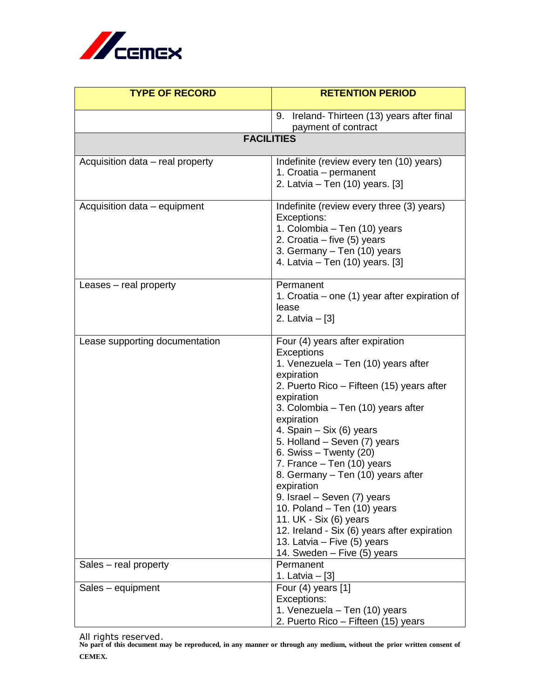

| <b>TYPE OF RECORD</b>            | <b>RETENTION PERIOD</b>                                                                                                                                                                                                                                                                                                                                                                                                                                                                                                                                                                          |
|----------------------------------|--------------------------------------------------------------------------------------------------------------------------------------------------------------------------------------------------------------------------------------------------------------------------------------------------------------------------------------------------------------------------------------------------------------------------------------------------------------------------------------------------------------------------------------------------------------------------------------------------|
|                                  | 9. Ireland-Thirteen (13) years after final                                                                                                                                                                                                                                                                                                                                                                                                                                                                                                                                                       |
|                                  | payment of contract                                                                                                                                                                                                                                                                                                                                                                                                                                                                                                                                                                              |
|                                  | <b>FACILITIES</b>                                                                                                                                                                                                                                                                                                                                                                                                                                                                                                                                                                                |
| Acquisition data - real property | Indefinite (review every ten (10) years)<br>1. Croatia - permanent<br>2. Latvia – Ten (10) years. [3]                                                                                                                                                                                                                                                                                                                                                                                                                                                                                            |
| Acquisition data – equipment     | Indefinite (review every three (3) years)<br>Exceptions:<br>1. Colombia – Ten (10) years<br>2. Croatia - five (5) years<br>3. Germany - Ten (10) years<br>4. Latvia - Ten (10) years. [3]                                                                                                                                                                                                                                                                                                                                                                                                        |
| Leases – real property           | Permanent<br>1. Croatia – one $(1)$ year after expiration of<br>lease<br>2. Latvia $-$ [3]                                                                                                                                                                                                                                                                                                                                                                                                                                                                                                       |
| Lease supporting documentation   | Four (4) years after expiration<br>Exceptions<br>1. Venezuela – Ten (10) years after<br>expiration<br>2. Puerto Rico – Fifteen (15) years after<br>expiration<br>3. Colombia – Ten (10) years after<br>expiration<br>4. Spain - Six (6) years<br>5. Holland - Seven (7) years<br>6. Swiss $-$ Twenty (20)<br>7. France – Ten (10) years<br>8. Germany - Ten (10) years after<br>expiration<br>9. Israel - Seven (7) years<br>10. Poland - Ten (10) years<br>11. UK - Six (6) years<br>12. Ireland - Six (6) years after expiration<br>13. Latvia – Five (5) years<br>14. Sweden - Five (5) years |
| Sales – real property            | Permanent<br>1. Latvia $-$ [3]                                                                                                                                                                                                                                                                                                                                                                                                                                                                                                                                                                   |
| Sales - equipment                | Four $(4)$ years $[1]$<br>Exceptions:<br>1. Venezuela - Ten (10) years<br>2. Puerto Rico - Fifteen (15) years                                                                                                                                                                                                                                                                                                                                                                                                                                                                                    |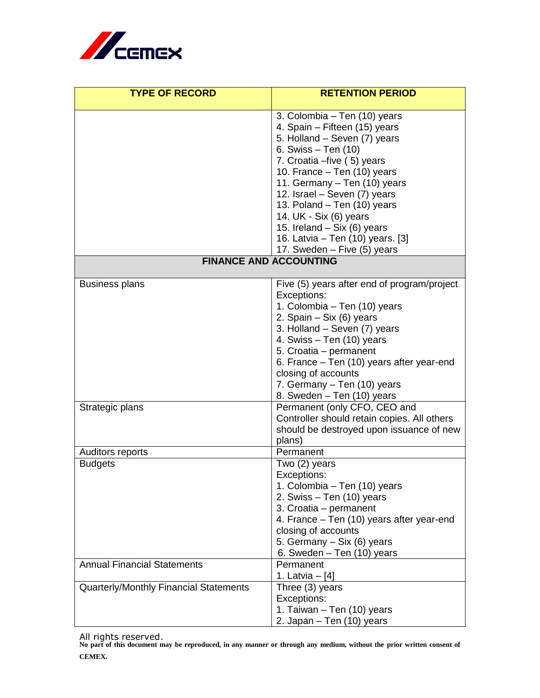

| <b>TYPE OF RECORD</b>                  | <b>RETENTION PERIOD</b>                                       |
|----------------------------------------|---------------------------------------------------------------|
|                                        |                                                               |
|                                        | 3. Colombia – Ten (10) years<br>4. Spain - Fifteen (15) years |
|                                        | 5. Holland - Seven (7) years                                  |
|                                        | 6. Swiss - Ten (10)                                           |
|                                        | 7. Croatia - five (5) years                                   |
|                                        | 10. France - Ten (10) years                                   |
|                                        | 11. Germany - Ten (10) years                                  |
|                                        | 12. Israel - Seven (7) years                                  |
|                                        | 13. Poland - Ten (10) years                                   |
|                                        | 14. UK - Six (6) years                                        |
|                                        | 15. Ireland - Six (6) years                                   |
|                                        | 16. Latvia – Ten (10) years. [3]                              |
|                                        | 17. Sweden - Five (5) years                                   |
| <b>FINANCE AND ACCOUNTING</b>          |                                                               |
| <b>Business plans</b>                  | Five (5) years after end of program/project                   |
|                                        | Exceptions:                                                   |
|                                        | 1. Colombia – Ten (10) years                                  |
|                                        | 2. Spain $-$ Six (6) years                                    |
|                                        | 3. Holland - Seven (7) years                                  |
|                                        | 4. Swiss - Ten (10) years                                     |
|                                        | 5. Croatia - permanent                                        |
|                                        | 6. France – Ten (10) years after year-end                     |
|                                        | closing of accounts                                           |
|                                        | 7. Germany - Ten (10) years<br>8. Sweden - Ten (10) years     |
| Strategic plans                        | Permanent (only CFO, CEO and                                  |
|                                        | Controller should retain copies. All others                   |
|                                        | should be destroyed upon issuance of new                      |
|                                        | plans)                                                        |
| Auditors reports                       | Permanent                                                     |
| <b>Budgets</b>                         | Two (2) years                                                 |
|                                        | Exceptions:                                                   |
|                                        | 1. Colombia – Ten (10) years                                  |
|                                        | 2. Swiss - Ten (10) years                                     |
|                                        | 3. Croatia - permanent                                        |
|                                        | 4. France – Ten (10) years after year-end                     |
|                                        | closing of accounts                                           |
|                                        | 5. Germany - Six (6) years                                    |
| <b>Annual Financial Statements</b>     | 6. Sweden - Ten (10) years                                    |
|                                        | Permanent<br>1. Latvia – $[4]$                                |
| Quarterly/Monthly Financial Statements | Three (3) years                                               |
|                                        | Exceptions:                                                   |
|                                        | 1. Taiwan - Ten (10) years                                    |
|                                        | 2. Japan – Ten (10) years                                     |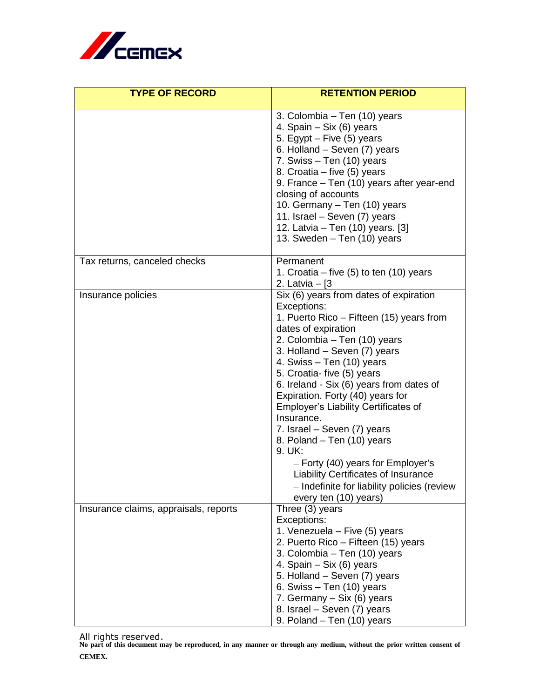

| <b>TYPE OF RECORD</b>                 | <b>RETENTION PERIOD</b>                                                                                                                                                                                                                                                                                                                                                                                                                                                                                                                                                                                                              |
|---------------------------------------|--------------------------------------------------------------------------------------------------------------------------------------------------------------------------------------------------------------------------------------------------------------------------------------------------------------------------------------------------------------------------------------------------------------------------------------------------------------------------------------------------------------------------------------------------------------------------------------------------------------------------------------|
|                                       | 3. Colombia - Ten (10) years<br>4. Spain – Six (6) years<br>5. Egypt $-$ Five (5) years<br>6. Holland - Seven (7) years<br>7. Swiss - Ten (10) years<br>8. Croatia – five (5) years<br>9. France - Ten (10) years after year-end<br>closing of accounts<br>10. Germany - Ten (10) years<br>11. Israel - Seven (7) years<br>12. Latvia – Ten (10) years. [3]<br>13. Sweden - Ten (10) years                                                                                                                                                                                                                                           |
| Tax returns, canceled checks          | Permanent<br>1. Croatia – five $(5)$ to ten $(10)$ years<br>2. Latvia $-$ [3                                                                                                                                                                                                                                                                                                                                                                                                                                                                                                                                                         |
| Insurance policies                    | Six (6) years from dates of expiration<br>Exceptions:<br>1. Puerto Rico – Fifteen (15) years from<br>dates of expiration<br>2. Colombia – Ten (10) years<br>3. Holland – Seven (7) years<br>4. Swiss - Ten (10) years<br>5. Croatia- five (5) years<br>6. Ireland - Six (6) years from dates of<br>Expiration. Forty (40) years for<br><b>Employer's Liability Certificates of</b><br>Insurance.<br>7. Israel – Seven (7) years<br>8. Poland – Ten (10) years<br>9. UK:<br>$-$ Forty (40) years for Employer's<br><b>Liability Certificates of Insurance</b><br>- Indefinite for liability policies (review<br>every ten (10) years) |
| Insurance claims, appraisals, reports | Three (3) years<br>Exceptions:<br>1. Venezuela - Five (5) years<br>2. Puerto Rico - Fifteen (15) years<br>3. Colombia - Ten (10) years<br>4. Spain – Six (6) years<br>5. Holland – Seven (7) years<br>6. Swiss $-$ Ten (10) years<br>7. Germany - Six (6) years<br>8. Israel - Seven (7) years<br>9. Poland - Ten (10) years                                                                                                                                                                                                                                                                                                         |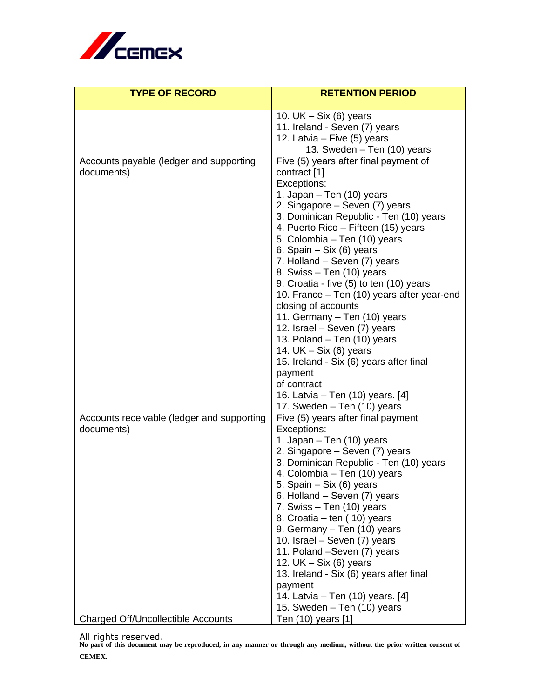

| <b>TYPE OF RECORD</b>                      | <b>RETENTION PERIOD</b>                                              |
|--------------------------------------------|----------------------------------------------------------------------|
|                                            |                                                                      |
|                                            | 10. UK $-$ Six (6) years                                             |
|                                            | 11. Ireland - Seven (7) years<br>12. Latvia - Five (5) years         |
|                                            | 13. Sweden - Ten (10) years                                          |
| Accounts payable (ledger and supporting    | Five (5) years after final payment of                                |
| documents)                                 | contract [1]                                                         |
|                                            | Exceptions:                                                          |
|                                            | 1. Japan - Ten (10) years                                            |
|                                            | 2. Singapore – Seven (7) years                                       |
|                                            | 3. Dominican Republic - Ten (10) years                               |
|                                            | 4. Puerto Rico - Fifteen (15) years                                  |
|                                            | 5. Colombia - Ten (10) years                                         |
|                                            | 6. Spain $-$ Six (6) years                                           |
|                                            | 7. Holland - Seven (7) years                                         |
|                                            | 8. Swiss - Ten (10) years<br>9. Croatia - five (5) to ten (10) years |
|                                            | 10. France - Ten (10) years after year-end                           |
|                                            | closing of accounts                                                  |
|                                            | 11. Germany - Ten (10) years                                         |
|                                            | 12. Israel - Seven (7) years                                         |
|                                            | 13. Poland - Ten (10) years                                          |
|                                            | 14. UK $-$ Six (6) years                                             |
|                                            | 15. Ireland - Six (6) years after final                              |
|                                            | payment                                                              |
|                                            | of contract                                                          |
|                                            | 16. Latvia – Ten (10) years. [4]                                     |
| Accounts receivable (ledger and supporting | 17. Sweden - Ten (10) years<br>Five (5) years after final payment    |
| documents)                                 | Exceptions:                                                          |
|                                            | 1. Japan - Ten (10) years                                            |
|                                            | 2. Singapore – Seven (7) years                                       |
|                                            | 3. Dominican Republic - Ten (10) years                               |
|                                            | 4. Colombia – Ten (10) years                                         |
|                                            | 5. Spain - Six (6) years                                             |
|                                            | 6. Holland - Seven (7) years                                         |
|                                            | 7. Swiss $-$ Ten (10) years                                          |
|                                            | 8. Croatia – ten (10) years                                          |
|                                            | 9. Germany - Ten (10) years<br>10. Israel - Seven (7) years          |
|                                            | 11. Poland -Seven (7) years                                          |
|                                            | 12. UK $-$ Six (6) years                                             |
|                                            | 13. Ireland - Six (6) years after final                              |
|                                            | payment                                                              |
|                                            | 14. Latvia – Ten (10) years. [4]                                     |
|                                            | 15. Sweden - Ten (10) years                                          |
| <b>Charged Off/Uncollectible Accounts</b>  | Ten (10) years [1]                                                   |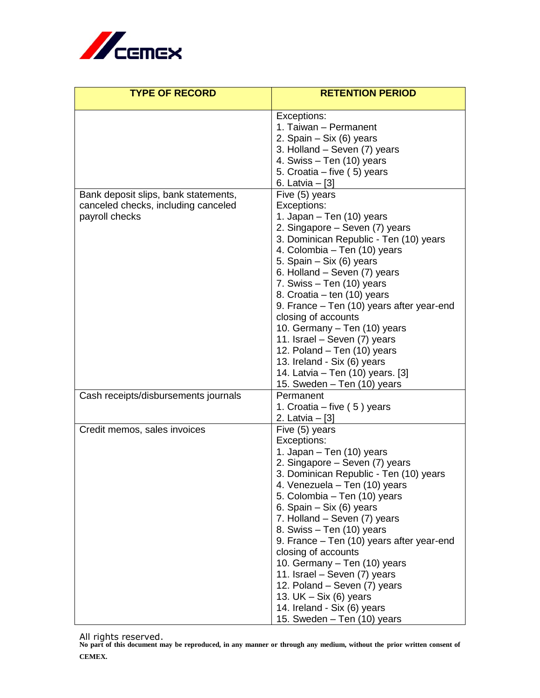

| <b>TYPE OF RECORD</b>                                                                         | <b>RETENTION PERIOD</b>                                                                                                                                                                                                                                                                                                                                                                                                                                                                                                                                             |
|-----------------------------------------------------------------------------------------------|---------------------------------------------------------------------------------------------------------------------------------------------------------------------------------------------------------------------------------------------------------------------------------------------------------------------------------------------------------------------------------------------------------------------------------------------------------------------------------------------------------------------------------------------------------------------|
|                                                                                               | Exceptions:<br>1. Taiwan - Permanent<br>2. Spain - Six (6) years<br>3. Holland - Seven (7) years<br>4. Swiss - Ten (10) years<br>5. Croatia – five (5) years<br>6. Latvia – [3]                                                                                                                                                                                                                                                                                                                                                                                     |
| Bank deposit slips, bank statements,<br>canceled checks, including canceled<br>payroll checks | Five (5) years<br>Exceptions:<br>1. Japan - Ten (10) years<br>2. Singapore – Seven (7) years<br>3. Dominican Republic - Ten (10) years<br>4. Colombia – Ten (10) years<br>5. Spain - Six (6) years<br>6. Holland - Seven (7) years<br>7. Swiss - Ten (10) years<br>8. Croatia – ten (10) years<br>9. France – Ten (10) years after year-end<br>closing of accounts<br>10. Germany – Ten (10) years<br>11. Israel - Seven (7) years<br>12. Poland - Ten (10) years<br>13. Ireland - Six (6) years<br>14. Latvia - Ten (10) years. [3]<br>15. Sweden - Ten (10) years |
| Cash receipts/disbursements journals                                                          | Permanent<br>1. Croatia - five (5) years<br>2. Latvia $-[3]$                                                                                                                                                                                                                                                                                                                                                                                                                                                                                                        |
| Credit memos, sales invoices                                                                  | Five (5) years<br>Exceptions:<br>1. Japan - Ten (10) years<br>2. Singapore – Seven (7) years<br>3. Dominican Republic - Ten (10) years<br>4. Venezuela - Ten (10) years<br>5. Colombia – Ten (10) years<br>6. Spain $-$ Six (6) years<br>7. Holland – Seven (7) years<br>8. Swiss – Ten (10) years<br>9. France – Ten (10) years after year-end<br>closing of accounts<br>10. Germany - Ten (10) years<br>11. Israel - Seven (7) years<br>12. Poland – Seven (7) years<br>13. UK $-$ Six (6) years<br>14. Ireland - Six (6) years<br>15. Sweden - Ten (10) years    |

All rights reserved. **No part of this document may be reproduced, in any manner or through any medium, without the prior written consent of CEMEX.**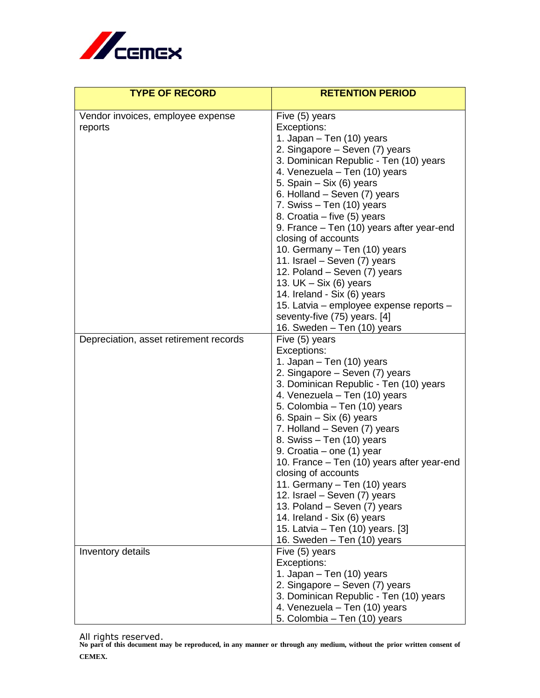

| <b>TYPE OF RECORD</b>                        | <b>RETENTION PERIOD</b>                                                 |
|----------------------------------------------|-------------------------------------------------------------------------|
| Vendor invoices, employee expense<br>reports | Five (5) years<br>Exceptions:<br>1. Japan - Ten (10) years              |
|                                              | 2. Singapore - Seven (7) years                                          |
|                                              | 3. Dominican Republic - Ten (10) years<br>4. Venezuela - Ten (10) years |
|                                              | 5. Spain – Six (6) years                                                |
|                                              | 6. Holland - Seven (7) years                                            |
|                                              | 7. Swiss - Ten (10) years<br>8. Croatia – five (5) years                |
|                                              | 9. France - Ten (10) years after year-end                               |
|                                              | closing of accounts                                                     |
|                                              | 10. Germany - Ten (10) years<br>11. Israel – Seven (7) years            |
|                                              | 12. Poland – Seven (7) years                                            |
|                                              | 13. UK $-$ Six (6) years                                                |
|                                              | 14. Ireland - Six (6) years                                             |
|                                              | 15. Latvia – employee expense reports –<br>seventy-five (75) years. [4] |
|                                              | 16. Sweden - Ten (10) years                                             |
| Depreciation, asset retirement records       | Five (5) years                                                          |
|                                              | Exceptions:<br>1. Japan – Ten (10) years                                |
|                                              | 2. Singapore – Seven (7) years                                          |
|                                              | 3. Dominican Republic - Ten (10) years                                  |
|                                              | 4. Venezuela - Ten (10) years                                           |
|                                              | 5. Colombia - Ten (10) years<br>6. Spain – Six (6) years                |
|                                              | 7. Holland – Seven (7) years                                            |
|                                              | 8. Swiss - Ten (10) years                                               |
|                                              | 9. Croatia – one (1) year                                               |
|                                              | 10. France – Ten (10) years after year-end<br>closing of accounts       |
|                                              | 11. Germany - Ten (10) years                                            |
|                                              | 12. Israel - Seven (7) years                                            |
|                                              | 13. Poland - Seven (7) years<br>14. Ireland - Six (6) years             |
|                                              | 15. Latvia – Ten (10) years. [3]                                        |
|                                              | 16. Sweden - Ten (10) years                                             |
| Inventory details                            | Five (5) years                                                          |
|                                              | Exceptions:<br>1. Japan - Ten (10) years                                |
|                                              | 2. Singapore – Seven (7) years                                          |
|                                              | 3. Dominican Republic - Ten (10) years                                  |
|                                              | 4. Venezuela - Ten (10) years<br>5. Colombia - Ten (10) years           |

All rights reserved. **No part of this document may be reproduced, in any manner or through any medium, without the prior written consent of CEMEX.**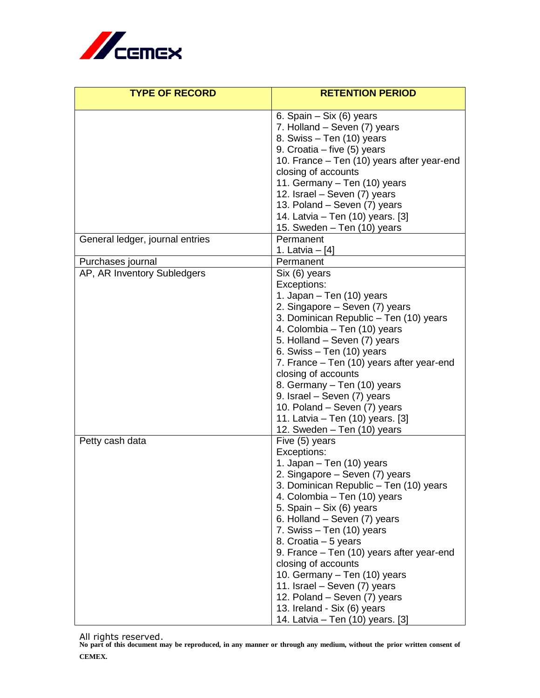

| <b>TYPE OF RECORD</b>                            | <b>RETENTION PERIOD</b>                                                                                                                                                                                                                                                                                                                                                                                                                                                                                                        |
|--------------------------------------------------|--------------------------------------------------------------------------------------------------------------------------------------------------------------------------------------------------------------------------------------------------------------------------------------------------------------------------------------------------------------------------------------------------------------------------------------------------------------------------------------------------------------------------------|
|                                                  | 6. Spain - Six (6) years<br>7. Holland – Seven (7) years<br>8. Swiss - Ten (10) years<br>9. Croatia – five (5) years<br>10. France - Ten (10) years after year-end<br>closing of accounts<br>11. Germany - Ten (10) years<br>12. Israel - Seven (7) years<br>13. Poland - Seven (7) years<br>14. Latvia – Ten (10) years. [3]<br>15. Sweden - Ten (10) years                                                                                                                                                                   |
| General ledger, journal entries                  | Permanent<br>1. Latvia - [4]                                                                                                                                                                                                                                                                                                                                                                                                                                                                                                   |
| Purchases journal<br>AP, AR Inventory Subledgers | Permanent<br>Six (6) years<br>Exceptions:<br>1. Japan - Ten (10) years<br>2. Singapore – Seven (7) years<br>3. Dominican Republic - Ten (10) years<br>4. Colombia – Ten (10) years<br>5. Holland - Seven (7) years<br>6. Swiss $-$ Ten (10) years<br>7. France – Ten (10) years after year-end<br>closing of accounts<br>8. Germany - Ten (10) years<br>9. Israel - Seven (7) years<br>10. Poland – Seven (7) years<br>11. Latvia – Ten (10) years. [3]<br>12. Sweden - Ten (10) years                                         |
| Petty cash data                                  | Five (5) years<br>Exceptions:<br>1. Japan - Ten (10) years<br>2. Singapore – Seven (7) years<br>3. Dominican Republic - Ten (10) years<br>4. Colombia – Ten (10) years<br>5. Spain - Six (6) years<br>6. Holland – Seven (7) years<br>7. Swiss - Ten (10) years<br>8. Croatia – 5 years<br>9. France – Ten (10) years after year-end<br>closing of accounts<br>10. Germany - Ten (10) years<br>11. Israel - Seven (7) years<br>12. Poland – Seven (7) years<br>13. Ireland - Six (6) years<br>14. Latvia – Ten (10) years. [3] |

All rights reserved. **No part of this document may be reproduced, in any manner or through any medium, without the prior written consent of CEMEX.**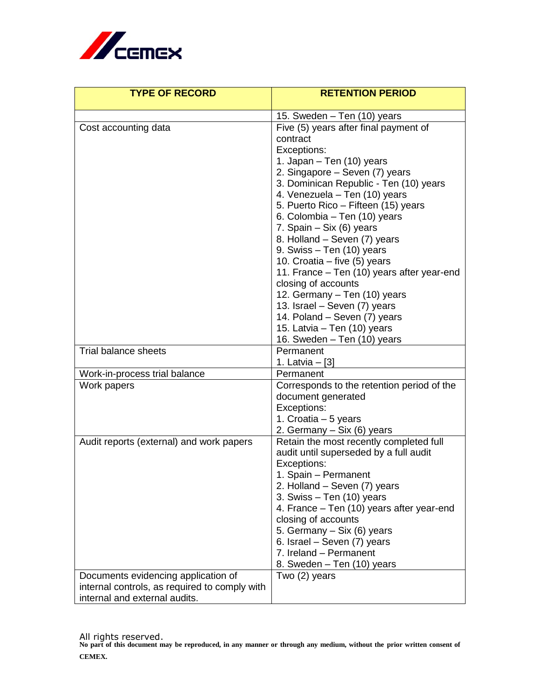

| <b>TYPE OF RECORD</b>                                                                                                 | <b>RETENTION PERIOD</b>                                                                                                                                                                                                                                                                                                                                                                                                                                                                                                                                                                                                                       |
|-----------------------------------------------------------------------------------------------------------------------|-----------------------------------------------------------------------------------------------------------------------------------------------------------------------------------------------------------------------------------------------------------------------------------------------------------------------------------------------------------------------------------------------------------------------------------------------------------------------------------------------------------------------------------------------------------------------------------------------------------------------------------------------|
|                                                                                                                       |                                                                                                                                                                                                                                                                                                                                                                                                                                                                                                                                                                                                                                               |
| Cost accounting data                                                                                                  | 15. Sweden - Ten (10) years<br>Five (5) years after final payment of<br>contract<br>Exceptions:<br>1. Japan - Ten (10) years<br>2. Singapore – Seven (7) years<br>3. Dominican Republic - Ten (10) years<br>4. Venezuela - Ten (10) years<br>5. Puerto Rico - Fifteen (15) years<br>6. Colombia - Ten (10) years<br>7. Spain - Six (6) years<br>8. Holland - Seven (7) years<br>9. Swiss - Ten (10) years<br>10. Croatia – five (5) years<br>11. France - Ten (10) years after year-end<br>closing of accounts<br>12. Germany - Ten (10) years<br>13. Israel - Seven (7) years<br>14. Poland - Seven (7) years<br>15. Latvia - Ten (10) years |
|                                                                                                                       | 16. Sweden - Ten (10) years                                                                                                                                                                                                                                                                                                                                                                                                                                                                                                                                                                                                                   |
| <b>Trial balance sheets</b>                                                                                           | Permanent<br>1. Latvia $-$ [3]                                                                                                                                                                                                                                                                                                                                                                                                                                                                                                                                                                                                                |
| Work-in-process trial balance                                                                                         | Permanent                                                                                                                                                                                                                                                                                                                                                                                                                                                                                                                                                                                                                                     |
| Work papers                                                                                                           | Corresponds to the retention period of the<br>document generated<br>Exceptions:<br>1. Croatia – 5 years<br>2. Germany – Six (6) years                                                                                                                                                                                                                                                                                                                                                                                                                                                                                                         |
| Audit reports (external) and work papers                                                                              | Retain the most recently completed full<br>audit until superseded by a full audit<br>Exceptions:<br>1. Spain - Permanent<br>2. Holland - Seven (7) years<br>3. Swiss $-$ Ten (10) years<br>4. France – Ten (10) years after year-end<br>closing of accounts<br>5. Germany - Six (6) years<br>6. Israel - Seven (7) years<br>7. Ireland - Permanent<br>8. Sweden - Ten (10) years                                                                                                                                                                                                                                                              |
| Documents evidencing application of<br>internal controls, as required to comply with<br>internal and external audits. | Two (2) years                                                                                                                                                                                                                                                                                                                                                                                                                                                                                                                                                                                                                                 |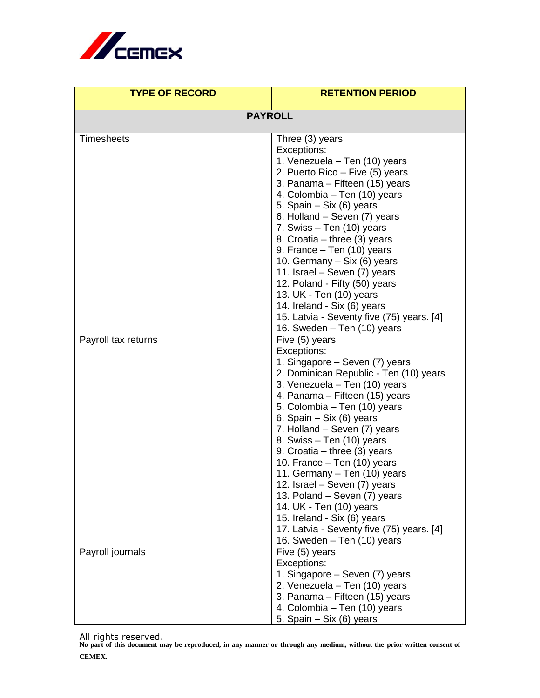

| <b>TYPE OF RECORD</b> | <b>RETENTION PERIOD</b>                                          |
|-----------------------|------------------------------------------------------------------|
| <b>PAYROLL</b>        |                                                                  |
|                       |                                                                  |
| <b>Timesheets</b>     | Three (3) years                                                  |
|                       | Exceptions:                                                      |
|                       | 1. Venezuela - Ten (10) years<br>2. Puerto Rico - Five (5) years |
|                       | 3. Panama – Fifteen (15) years                                   |
|                       | 4. Colombia - Ten (10) years                                     |
|                       | 5. Spain - Six (6) years                                         |
|                       | 6. Holland – Seven (7) years                                     |
|                       | 7. Swiss - Ten (10) years                                        |
|                       | 8. Croatia – three (3) years                                     |
|                       | 9. France – Ten (10) years                                       |
|                       | 10. Germany – Six (6) years                                      |
|                       | 11. Israel - Seven (7) years                                     |
|                       | 12. Poland - Fifty (50) years                                    |
|                       | 13. UK - Ten (10) years                                          |
|                       | 14. Ireland - Six (6) years                                      |
|                       | 15. Latvia - Seventy five (75) years. [4]                        |
| Payroll tax returns   | 16. Sweden - Ten (10) years<br>Five (5) years                    |
|                       | Exceptions:                                                      |
|                       | 1. Singapore – Seven (7) years                                   |
|                       | 2. Dominican Republic - Ten (10) years                           |
|                       | 3. Venezuela - Ten (10) years                                    |
|                       | 4. Panama – Fifteen (15) years                                   |
|                       | 5. Colombia – Ten (10) years                                     |
|                       | 6. Spain – Six (6) years                                         |
|                       | 7. Holland – Seven (7) years                                     |
|                       | 8. Swiss - Ten (10) years                                        |
|                       | 9. Croatia – three $(3)$ years                                   |
|                       | 10. France - Ten (10) years                                      |
|                       | 11. Germany - Ten (10) years                                     |
|                       | 12. Israel - Seven (7) years<br>13. Poland - Seven (7) years     |
|                       | 14. UK - Ten (10) years                                          |
|                       | 15. Ireland - Six (6) years                                      |
|                       | 17. Latvia - Seventy five (75) years. [4]                        |
|                       | 16. Sweden – Ten (10) years                                      |
| Payroll journals      | Five (5) years                                                   |
|                       | Exceptions:                                                      |
|                       | 1. Singapore – Seven (7) years                                   |
|                       | 2. Venezuela - Ten (10) years                                    |
|                       | 3. Panama – Fifteen (15) years                                   |
|                       | 4. Colombia – Ten (10) years                                     |
|                       | 5. Spain – Six (6) years                                         |

All rights reserved. **No part of this document may be reproduced, in any manner or through any medium, without the prior written consent of CEMEX.**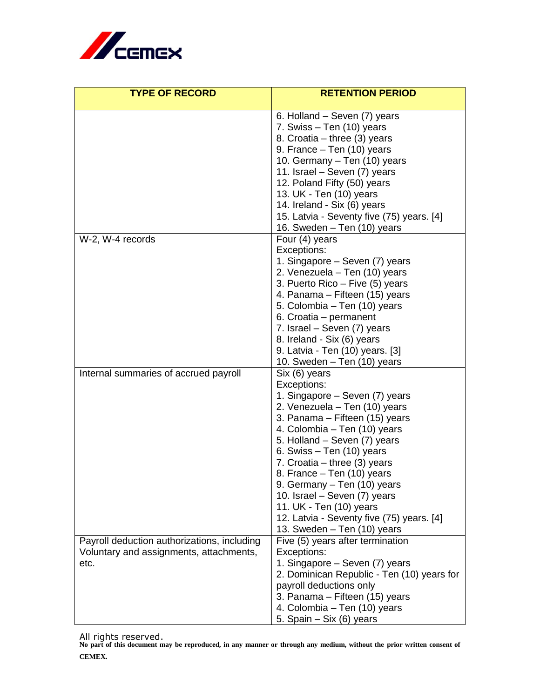

| <b>TYPE OF RECORD</b>                                                                          | <b>RETENTION PERIOD</b>                                                                                                                                                                                                                                                                                                                                                                                                                                                |
|------------------------------------------------------------------------------------------------|------------------------------------------------------------------------------------------------------------------------------------------------------------------------------------------------------------------------------------------------------------------------------------------------------------------------------------------------------------------------------------------------------------------------------------------------------------------------|
|                                                                                                | 6. Holland - Seven (7) years<br>7. Swiss – Ten (10) years<br>8. Croatia – three (3) years<br>9. France - Ten (10) years<br>10. Germany – Ten (10) years<br>11. Israel – Seven (7) years<br>12. Poland Fifty (50) years<br>13. UK - Ten (10) years<br>14. Ireland - Six (6) years<br>15. Latvia - Seventy five (75) years. [4]<br>16. Sweden - Ten (10) years                                                                                                           |
| W-2, W-4 records                                                                               | Four (4) years<br>Exceptions:<br>1. Singapore – Seven (7) years<br>2. Venezuela - Ten (10) years<br>3. Puerto Rico - Five (5) years<br>4. Panama – Fifteen (15) years<br>5. Colombia – Ten (10) years<br>6. Croatia - permanent<br>7. Israel - Seven (7) years<br>8. Ireland - Six (6) years<br>9. Latvia - Ten (10) years. [3]<br>10. Sweden - Ten (10) years                                                                                                         |
| Internal summaries of accrued payroll                                                          | Six (6) years<br>Exceptions:<br>1. Singapore – Seven (7) years<br>2. Venezuela - Ten (10) years<br>3. Panama – Fifteen (15) years<br>4. Colombia – Ten (10) years<br>5. Holland - Seven (7) years<br>6. Swiss $-$ Ten (10) years<br>7. Croatia – three $(3)$ years<br>8. France - Ten (10) years<br>9. Germany - Ten (10) years<br>10. Israel - Seven (7) years<br>11. UK - Ten (10) years<br>12. Latvia - Seventy five (75) years. [4]<br>13. Sweden - Ten (10) years |
| Payroll deduction authorizations, including<br>Voluntary and assignments, attachments,<br>etc. | Five (5) years after termination<br>Exceptions:<br>1. Singapore – Seven (7) years<br>2. Dominican Republic - Ten (10) years for<br>payroll deductions only<br>3. Panama – Fifteen (15) years<br>4. Colombia - Ten (10) years<br>5. Spain - Six (6) years                                                                                                                                                                                                               |

All rights reserved. **No part of this document may be reproduced, in any manner or through any medium, without the prior written consent of CEMEX.**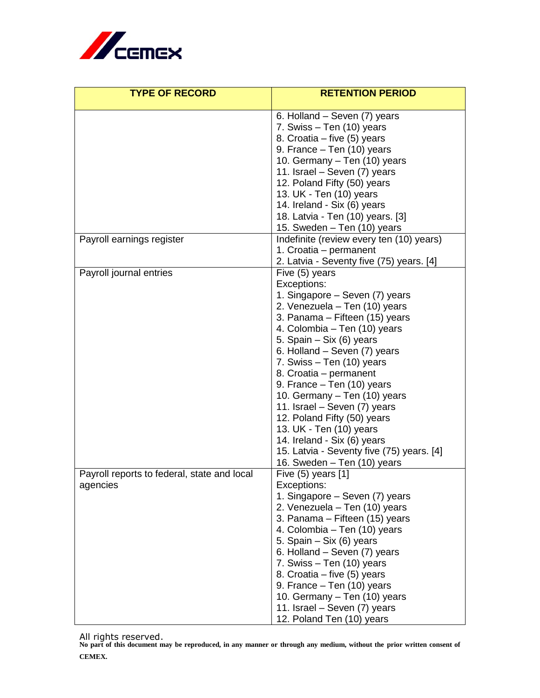

| <b>TYPE OF RECORD</b>                       | <b>RETENTION PERIOD</b>                                            |
|---------------------------------------------|--------------------------------------------------------------------|
|                                             | 6. Holland – Seven (7) years                                       |
|                                             | 7. Swiss – Ten (10) years                                          |
|                                             | 8. Croatia - five (5) years                                        |
|                                             | 9. France - Ten (10) years                                         |
|                                             | 10. Germany - Ten (10) years                                       |
|                                             | 11. Israel - Seven (7) years                                       |
|                                             | 12. Poland Fifty (50) years                                        |
|                                             | 13. UK - Ten (10) years                                            |
|                                             | 14. Ireland - Six (6) years                                        |
|                                             | 18. Latvia - Ten (10) years. [3]                                   |
|                                             | 15. Sweden - Ten (10) years                                        |
| Payroll earnings register                   | Indefinite (review every ten (10) years)<br>1. Croatia – permanent |
|                                             | 2. Latvia - Seventy five (75) years. [4]                           |
| Payroll journal entries                     | Five (5) years                                                     |
|                                             | Exceptions:                                                        |
|                                             | 1. Singapore - Seven (7) years                                     |
|                                             | 2. Venezuela - Ten (10) years                                      |
|                                             | 3. Panama – Fifteen (15) years                                     |
|                                             | 4. Colombia – Ten (10) years                                       |
|                                             | 5. Spain – Six (6) years                                           |
|                                             | 6. Holland – Seven (7) years                                       |
|                                             | 7. Swiss - Ten (10) years                                          |
|                                             | 8. Croatia - permanent                                             |
|                                             | 9. France - Ten (10) years                                         |
|                                             | 10. Germany - Ten (10) years<br>11. Israel - Seven (7) years       |
|                                             | 12. Poland Fifty (50) years                                        |
|                                             | 13. UK - Ten (10) years                                            |
|                                             | 14. Ireland - Six (6) years                                        |
|                                             | 15. Latvia - Seventy five (75) years. [4]                          |
|                                             | 16. Sweden - Ten (10) years                                        |
| Payroll reports to federal, state and local | Five $(5)$ years $[1]$                                             |
| agencies                                    | Exceptions:                                                        |
|                                             | 1. Singapore – Seven (7) years                                     |
|                                             | 2. Venezuela – Ten (10) years                                      |
|                                             | 3. Panama – Fifteen (15) years                                     |
|                                             | 4. Colombia - Ten (10) years                                       |
|                                             | 5. Spain - Six (6) years<br>6. Holland – Seven (7) years           |
|                                             | 7. Swiss - Ten (10) years                                          |
|                                             | 8. Croatia – five (5) years                                        |
|                                             | 9. France - Ten (10) years                                         |
|                                             | 10. Germany – Ten (10) years                                       |
|                                             | 11. Israel - Seven (7) years                                       |
|                                             | 12. Poland Ten (10) years                                          |

All rights reserved. **No part of this document may be reproduced, in any manner or through any medium, without the prior written consent of CEMEX.**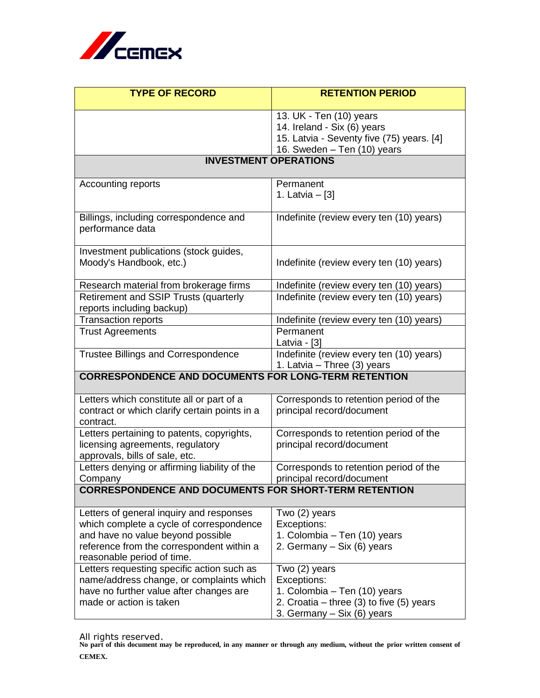

| <b>TYPE OF RECORD</b>                                                                                                                                                                                | <b>RETENTION PERIOD</b>                                                                                                                    |  |
|------------------------------------------------------------------------------------------------------------------------------------------------------------------------------------------------------|--------------------------------------------------------------------------------------------------------------------------------------------|--|
|                                                                                                                                                                                                      | 13. UK - Ten (10) years<br>14. Ireland - Six (6) years<br>15. Latvia - Seventy five (75) years. [4]<br>16. Sweden - Ten (10) years         |  |
| <b>INVESTMENT OPERATIONS</b>                                                                                                                                                                         |                                                                                                                                            |  |
| Accounting reports                                                                                                                                                                                   | Permanent<br>1. Latvia – [3]                                                                                                               |  |
| Billings, including correspondence and<br>performance data                                                                                                                                           | Indefinite (review every ten (10) years)                                                                                                   |  |
| Investment publications (stock guides,<br>Moody's Handbook, etc.)                                                                                                                                    | Indefinite (review every ten (10) years)                                                                                                   |  |
| Research material from brokerage firms                                                                                                                                                               | Indefinite (review every ten (10) years)                                                                                                   |  |
| Retirement and SSIP Trusts (quarterly<br>reports including backup)                                                                                                                                   | Indefinite (review every ten (10) years)                                                                                                   |  |
| <b>Transaction reports</b>                                                                                                                                                                           | Indefinite (review every ten (10) years)                                                                                                   |  |
| <b>Trust Agreements</b>                                                                                                                                                                              | Permanent<br>Latvia - [3]                                                                                                                  |  |
| <b>Trustee Billings and Correspondence</b>                                                                                                                                                           | Indefinite (review every ten (10) years)<br>1. Latvia - Three (3) years                                                                    |  |
| <b>CORRESPONDENCE AND DOCUMENTS FOR LONG-TERM RETENTION</b>                                                                                                                                          |                                                                                                                                            |  |
| Letters which constitute all or part of a<br>contract or which clarify certain points in a<br>contract.                                                                                              | Corresponds to retention period of the<br>principal record/document                                                                        |  |
| Letters pertaining to patents, copyrights,<br>licensing agreements, regulatory<br>approvals, bills of sale, etc.                                                                                     | Corresponds to retention period of the<br>principal record/document                                                                        |  |
| Letters denying or affirming liability of the<br>Company                                                                                                                                             | Corresponds to retention period of the<br>principal record/document                                                                        |  |
| <b>CORRESPONDENCE AND DOCUMENTS FOR SHORT-TERM RETENTION</b>                                                                                                                                         |                                                                                                                                            |  |
| Letters of general inquiry and responses<br>which complete a cycle of correspondence<br>and have no value beyond possible<br>reference from the correspondent within a<br>reasonable period of time. | Two (2) years<br>Exceptions:<br>1. Colombia – Ten (10) years<br>2. Germany – Six (6) years                                                 |  |
| Letters requesting specific action such as<br>name/address change, or complaints which<br>have no further value after changes are<br>made or action is taken                                         | Two (2) years<br>Exceptions:<br>1. Colombia - Ten (10) years<br>2. Croatia – three $(3)$ to five $(5)$ years<br>3. Germany – Six (6) years |  |

All rights reserved. **No part of this document may be reproduced, in any manner or through any medium, without the prior written consent of CEMEX.**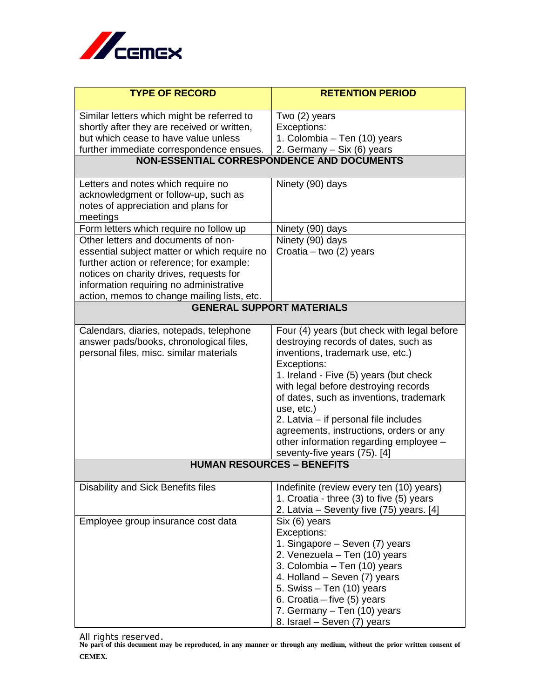

| <b>TYPE OF RECORD</b>                                                          | <b>RETENTION PERIOD</b>                                                        |  |
|--------------------------------------------------------------------------------|--------------------------------------------------------------------------------|--|
| Similar letters which might be referred to                                     | Two (2) years                                                                  |  |
| shortly after they are received or written,                                    | Exceptions:                                                                    |  |
| but which cease to have value unless                                           | 1. Colombia – Ten (10) years                                                   |  |
| further immediate correspondence ensues.                                       | 2. Germany - Six (6) years                                                     |  |
| NON-ESSENTIAL CORRESPONDENCE AND DOCUMENTS                                     |                                                                                |  |
| Letters and notes which require no                                             | Ninety (90) days                                                               |  |
| acknowledgment or follow-up, such as                                           |                                                                                |  |
| notes of appreciation and plans for                                            |                                                                                |  |
| meetings                                                                       |                                                                                |  |
| Form letters which require no follow up<br>Other letters and documents of non- | Ninety (90) days<br>Ninety (90) days                                           |  |
| essential subject matter or which require no                                   | Croatia - two (2) years                                                        |  |
| further action or reference; for example:                                      |                                                                                |  |
| notices on charity drives, requests for                                        |                                                                                |  |
| information requiring no administrative                                        |                                                                                |  |
| action, memos to change mailing lists, etc.                                    |                                                                                |  |
| <b>GENERAL SUPPORT MATERIALS</b>                                               |                                                                                |  |
| Calendars, diaries, notepads, telephone                                        | Four (4) years (but check with legal before                                    |  |
| answer pads/books, chronological files,                                        | destroying records of dates, such as                                           |  |
| personal files, misc. similar materials                                        | inventions, trademark use, etc.)                                               |  |
|                                                                                | Exceptions:                                                                    |  |
|                                                                                | 1. Ireland - Five (5) years (but check<br>with legal before destroying records |  |
|                                                                                | of dates, such as inventions, trademark                                        |  |
|                                                                                | use, etc.)                                                                     |  |
|                                                                                | 2. Latvia - if personal file includes                                          |  |
|                                                                                | agreements, instructions, orders or any                                        |  |
|                                                                                | other information regarding employee -                                         |  |
|                                                                                | seventy-five years (75). [4]                                                   |  |
| <b>HUMAN RESOURCES - BENEFITS</b>                                              |                                                                                |  |
| Disability and Sick Benefits files                                             | Indefinite (review every ten (10) years)                                       |  |
|                                                                                | 1. Croatia - three (3) to five (5) years                                       |  |
|                                                                                | 2. Latvia – Seventy five (75) years. [4]                                       |  |
| Employee group insurance cost data                                             | Six (6) years                                                                  |  |
|                                                                                | Exceptions:                                                                    |  |
|                                                                                | 1. Singapore – Seven (7) years<br>2. Venezuela – Ten (10) years                |  |
|                                                                                | 3. Colombia - Ten (10) years                                                   |  |
|                                                                                | 4. Holland – Seven (7) years                                                   |  |
|                                                                                | 5. Swiss – Ten (10) years                                                      |  |
|                                                                                | 6. Croatia – five (5) years                                                    |  |
|                                                                                | 7. Germany - Ten (10) years                                                    |  |
|                                                                                | 8. Israel – Seven (7) years                                                    |  |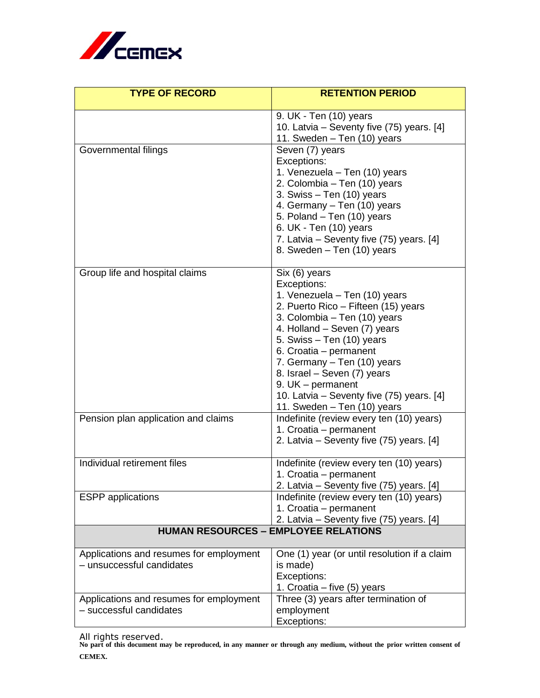

| <b>TYPE OF RECORD</b>                       | <b>RETENTION PERIOD</b>                                                 |
|---------------------------------------------|-------------------------------------------------------------------------|
|                                             |                                                                         |
|                                             | 9. UK - Ten (10) years<br>10. Latvia - Seventy five (75) years. [4]     |
|                                             | 11. Sweden - Ten (10) years                                             |
| Governmental filings                        | Seven (7) years                                                         |
|                                             | Exceptions:                                                             |
|                                             | 1. Venezuela - Ten (10) years                                           |
|                                             | 2. Colombia - Ten (10) years                                            |
|                                             | 3. Swiss $-$ Ten (10) years                                             |
|                                             | 4. Germany - Ten (10) years                                             |
|                                             | 5. Poland - Ten (10) years                                              |
|                                             | 6. UK - Ten (10) years                                                  |
|                                             | 7. Latvia – Seventy five (75) years. [4]                                |
|                                             | 8. Sweden - Ten (10) years                                              |
| Group life and hospital claims              | Six (6) years                                                           |
|                                             | Exceptions:                                                             |
|                                             | 1. Venezuela - Ten (10) years                                           |
|                                             | 2. Puerto Rico - Fifteen (15) years                                     |
|                                             | 3. Colombia – Ten (10) years                                            |
|                                             | 4. Holland – Seven (7) years                                            |
|                                             | 5. Swiss – Ten (10) years                                               |
|                                             | 6. Croatia - permanent                                                  |
|                                             | 7. Germany - Ten (10) years                                             |
|                                             | 8. Israel - Seven (7) years                                             |
|                                             | 9. $UK$ – permanent                                                     |
|                                             | 10. Latvia – Seventy five (75) years. [4]                               |
| Pension plan application and claims         | 11. Sweden - Ten (10) years<br>Indefinite (review every ten (10) years) |
|                                             | 1. Croatia - permanent                                                  |
|                                             | 2. Latvia – Seventy five (75) years. [4]                                |
|                                             |                                                                         |
| Individual retirement files                 | Indefinite (review every ten (10) years)                                |
|                                             | 1. Croatia - permanent                                                  |
|                                             | 2. Latvia – Seventy five (75) years. [4]                                |
| <b>ESPP</b> applications                    | Indefinite (review every ten (10) years)                                |
|                                             | 1. Croatia - permanent                                                  |
|                                             | 2. Latvia - Seventy five (75) years. [4]                                |
| <b>HUMAN RESOURCES - EMPLOYEE RELATIONS</b> |                                                                         |
| Applications and resumes for employment     | One (1) year (or until resolution if a claim                            |
| - unsuccessful candidates                   | is made)                                                                |
|                                             | Exceptions:                                                             |
|                                             | 1. Croatia – five (5) years                                             |
| Applications and resumes for employment     | Three (3) years after termination of                                    |
| - successful candidates                     | employment                                                              |
|                                             | Exceptions:                                                             |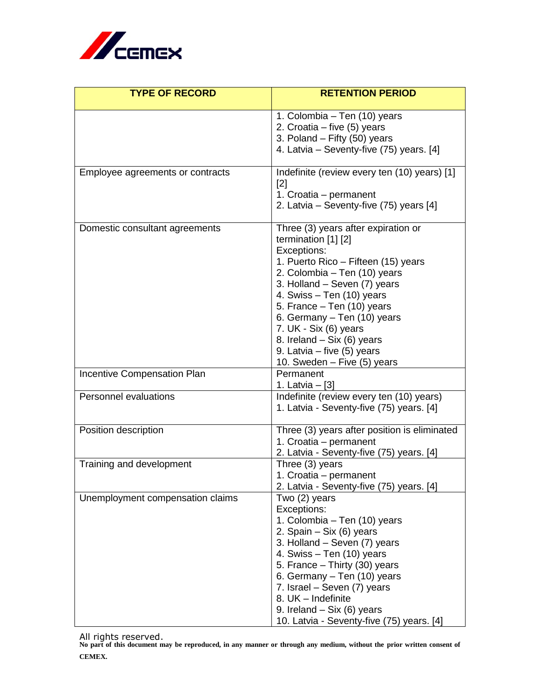

| <b>TYPE OF RECORD</b>            | <b>RETENTION PERIOD</b>                                                   |
|----------------------------------|---------------------------------------------------------------------------|
|                                  | 1. Colombia – Ten (10) years                                              |
|                                  | 2. Croatia – five (5) years                                               |
|                                  | 3. Poland - Fifty (50) years                                              |
|                                  | 4. Latvia – Seventy-five (75) years. [4]                                  |
| Employee agreements or contracts | Indefinite (review every ten (10) years) [1]<br>$[2]$                     |
|                                  | 1. Croatia - permanent                                                    |
|                                  | 2. Latvia – Seventy-five (75) years [4]                                   |
| Domestic consultant agreements   | Three (3) years after expiration or<br>termination [1] [2]<br>Exceptions: |
|                                  | 1. Puerto Rico - Fifteen (15) years                                       |
|                                  | 2. Colombia - Ten (10) years                                              |
|                                  | 3. Holland - Seven (7) years                                              |
|                                  | 4. Swiss - Ten (10) years                                                 |
|                                  | 5. France - Ten (10) years                                                |
|                                  | 6. Germany - Ten (10) years                                               |
|                                  | 7. UK - Six (6) years                                                     |
|                                  | 8. Ireland – Six (6) years<br>9. Latvia – five (5) years                  |
|                                  | 10. Sweden - Five (5) years                                               |
| Incentive Compensation Plan      | Permanent                                                                 |
|                                  | 1. Latvia - [3]                                                           |
| Personnel evaluations            | Indefinite (review every ten (10) years)                                  |
|                                  | 1. Latvia - Seventy-five (75) years. [4]                                  |
| Position description             | Three (3) years after position is eliminated                              |
|                                  | 1. Croatia - permanent<br>2. Latvia - Seventy-five (75) years. [4]        |
| Training and development         | Three (3) years                                                           |
|                                  | 1. Croatia - permanent                                                    |
|                                  | 2. Latvia - Seventy-five (75) years. [4]                                  |
| Unemployment compensation claims | Two (2) years                                                             |
|                                  | Exceptions:                                                               |
|                                  | 1. Colombia - Ten (10) years<br>2. Spain - Six (6) years                  |
|                                  | 3. Holland - Seven (7) years                                              |
|                                  | 4. Swiss - Ten (10) years                                                 |
|                                  | 5. France - Thirty (30) years                                             |
|                                  | 6. Germany - Ten (10) years                                               |
|                                  | 7. Israel - Seven (7) years                                               |
|                                  | 8. UK - Indefinite                                                        |
|                                  | 9. Ireland – Six $(6)$ years                                              |
|                                  | 10. Latvia - Seventy-five (75) years. [4]                                 |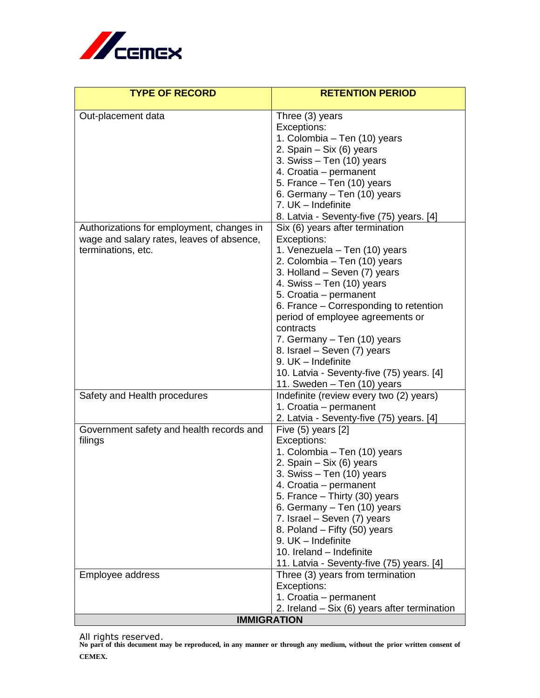

| <b>TYPE OF RECORD</b>                     | <b>RETENTION PERIOD</b>                                   |
|-------------------------------------------|-----------------------------------------------------------|
| Out-placement data                        | Three (3) years                                           |
|                                           | Exceptions:                                               |
|                                           | 1. Colombia – Ten (10) years                              |
|                                           | 2. Spain - Six (6) years                                  |
|                                           | 3. Swiss – Ten (10) years                                 |
|                                           | 4. Croatia – permanent                                    |
|                                           | 5. France - Ten (10) years                                |
|                                           | 6. Germany - Ten (10) years                               |
|                                           | 7. UK - Indefinite                                        |
|                                           | 8. Latvia - Seventy-five (75) years. [4]                  |
| Authorizations for employment, changes in | Six (6) years after termination                           |
| wage and salary rates, leaves of absence, | Exceptions:                                               |
| terminations, etc.                        | 1. Venezuela – Ten (10) years                             |
|                                           | 2. Colombia – Ten (10) years                              |
|                                           | 3. Holland - Seven (7) years<br>4. Swiss - Ten (10) years |
|                                           | 5. Croatia - permanent                                    |
|                                           | 6. France – Corresponding to retention                    |
|                                           | period of employee agreements or                          |
|                                           | contracts                                                 |
|                                           | 7. Germany – Ten (10) years                               |
|                                           | 8. Israel - Seven (7) years                               |
|                                           | 9. UK - Indefinite                                        |
|                                           | 10. Latvia - Seventy-five (75) years. [4]                 |
|                                           | 11. Sweden - Ten (10) years                               |
| Safety and Health procedures              | Indefinite (review every two (2) years)                   |
|                                           | 1. Croatia - permanent                                    |
|                                           | 2. Latvia - Seventy-five (75) years. [4]                  |
| Government safety and health records and  | Five $(5)$ years $[2]$                                    |
| filings                                   | Exceptions:                                               |
|                                           | 1. Colombia – Ten (10) years                              |
|                                           | 2. Spain – Six (6) years<br>3. Swiss - Ten (10) years     |
|                                           | 4. Croatia - permanent                                    |
|                                           | 5. France - Thirty (30) years                             |
|                                           | 6. Germany - Ten (10) years                               |
|                                           | 7. Israel - Seven (7) years                               |
|                                           | 8. Poland – Fifty (50) years                              |
|                                           | 9. UK - Indefinite                                        |
|                                           | 10. Ireland - Indefinite                                  |
|                                           | 11. Latvia - Seventy-five (75) years. [4]                 |
| Employee address                          | Three (3) years from termination                          |
|                                           | Exceptions:                                               |
|                                           | 1. Croatia - permanent                                    |
|                                           | 2. Ireland – Six (6) years after termination              |
| <b>IMMIGRATION</b>                        |                                                           |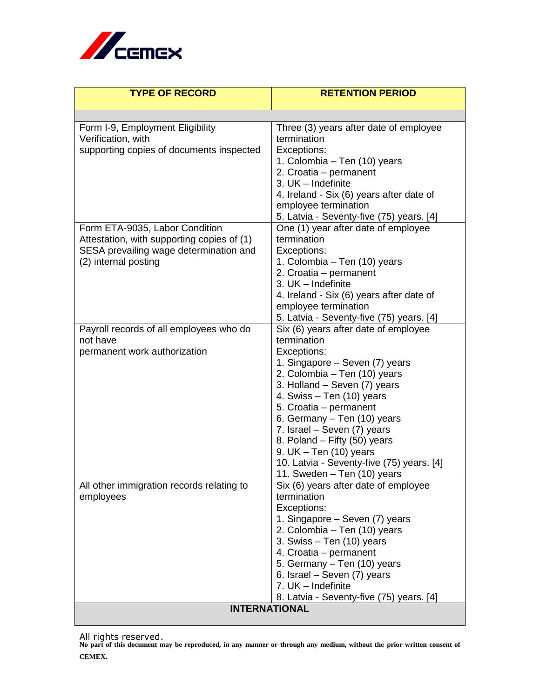

| <b>TYPE OF RECORD</b>                                                                                                                          | <b>RETENTION PERIOD</b>                                                                                                                                                                                                                                                                                                                                                                                                           |
|------------------------------------------------------------------------------------------------------------------------------------------------|-----------------------------------------------------------------------------------------------------------------------------------------------------------------------------------------------------------------------------------------------------------------------------------------------------------------------------------------------------------------------------------------------------------------------------------|
|                                                                                                                                                |                                                                                                                                                                                                                                                                                                                                                                                                                                   |
| Form I-9, Employment Eligibility<br>Verification, with<br>supporting copies of documents inspected                                             | Three (3) years after date of employee<br>termination<br>Exceptions:<br>1. Colombia - Ten (10) years<br>2. Croatia - permanent<br>3. UK - Indefinite<br>4. Ireland - Six (6) years after date of<br>employee termination<br>5. Latvia - Seventy-five (75) years. [4]                                                                                                                                                              |
| Form ETA-9035, Labor Condition<br>Attestation, with supporting copies of (1)<br>SESA prevailing wage determination and<br>(2) internal posting | One (1) year after date of employee<br>termination<br>Exceptions:<br>1. Colombia – Ten (10) years<br>2. Croatia - permanent<br>3. UK - Indefinite<br>4. Ireland - Six (6) years after date of<br>employee termination<br>5. Latvia - Seventy-five (75) years. [4]                                                                                                                                                                 |
| Payroll records of all employees who do<br>not have<br>permanent work authorization                                                            | Six (6) years after date of employee<br>termination<br>Exceptions:<br>1. Singapore – Seven (7) years<br>2. Colombia - Ten (10) years<br>3. Holland - Seven (7) years<br>4. Swiss - Ten (10) years<br>5. Croatia - permanent<br>6. Germany - Ten (10) years<br>7. Israel - Seven (7) years<br>8. Poland – Fifty (50) years<br>9. UK $-$ Ten (10) years<br>10. Latvia - Seventy-five (75) years. [4]<br>11. Sweden - Ten (10) years |
| All other immigration records relating to<br>employees                                                                                         | Six (6) years after date of employee<br>termination<br>Exceptions:<br>1. Singapore - Seven (7) years<br>2. Colombia - Ten (10) years<br>3. Swiss - Ten (10) years<br>4. Croatia - permanent<br>5. Germany - Ten (10) years<br>6. Israel - Seven (7) years<br>7. UK - Indefinite<br>8. Latvia - Seventy-five (75) years. [4]                                                                                                       |
| <b>INTERNATIONAL</b>                                                                                                                           |                                                                                                                                                                                                                                                                                                                                                                                                                                   |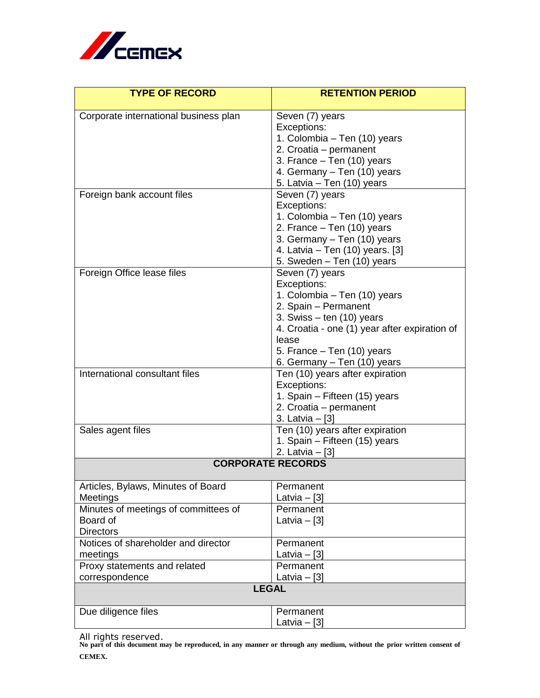

| <b>TYPE OF RECORD</b>                          | <b>RETENTION PERIOD</b>                          |
|------------------------------------------------|--------------------------------------------------|
| Corporate international business plan          | Seven (7) years                                  |
|                                                | Exceptions:                                      |
|                                                | 1. Colombia - Ten (10) years                     |
|                                                | 2. Croatia – permanent                           |
|                                                | 3. France - Ten (10) years                       |
|                                                | 4. Germany - Ten (10) years                      |
|                                                | 5. Latvia - Ten (10) years                       |
| Foreign bank account files                     | Seven (7) years<br>Exceptions:                   |
|                                                | 1. Colombia – Ten (10) years                     |
|                                                | 2. France - Ten (10) years                       |
|                                                | 3. Germany - Ten (10) years                      |
|                                                | 4. Latvia – Ten (10) years. [3]                  |
|                                                | 5. Sweden - Ten (10) years                       |
| Foreign Office lease files                     | Seven (7) years                                  |
|                                                | Exceptions:                                      |
|                                                | 1. Colombia – Ten (10) years                     |
|                                                | 2. Spain - Permanent                             |
|                                                | 3. Swiss $-$ ten (10) years                      |
|                                                | 4. Croatia - one (1) year after expiration of    |
|                                                | lease                                            |
|                                                | 5. France – Ten (10) years                       |
|                                                | 6. Germany – Ten (10) years                      |
| International consultant files                 | Ten (10) years after expiration                  |
|                                                | Exceptions:                                      |
|                                                | 1. Spain - Fifteen (15) years                    |
|                                                | 2. Croatia - permanent                           |
|                                                | 3. Latvia – [3]                                  |
| Sales agent files                              | Ten (10) years after expiration                  |
|                                                | 1. Spain - Fifteen (15) years<br>2. Latvia - [3] |
| <b>CORPORATE RECORDS</b>                       |                                                  |
|                                                |                                                  |
| Articles, Bylaws, Minutes of Board             | Permanent                                        |
| Meetings                                       | Latvia $-$ [3]                                   |
| Minutes of meetings of committees of           | Permanent                                        |
| Board of                                       | Latvia $-$ [3]                                   |
| <b>Directors</b>                               |                                                  |
| Notices of shareholder and director            | Permanent                                        |
| meetings                                       | Latvia $-$ [3]<br>Permanent                      |
| Proxy statements and related<br>correspondence | Latvia $-[3]$                                    |
| <b>LEGAL</b>                                   |                                                  |
| Due diligence files                            | Permanent                                        |
|                                                | Latvia $-$ [3]                                   |
|                                                |                                                  |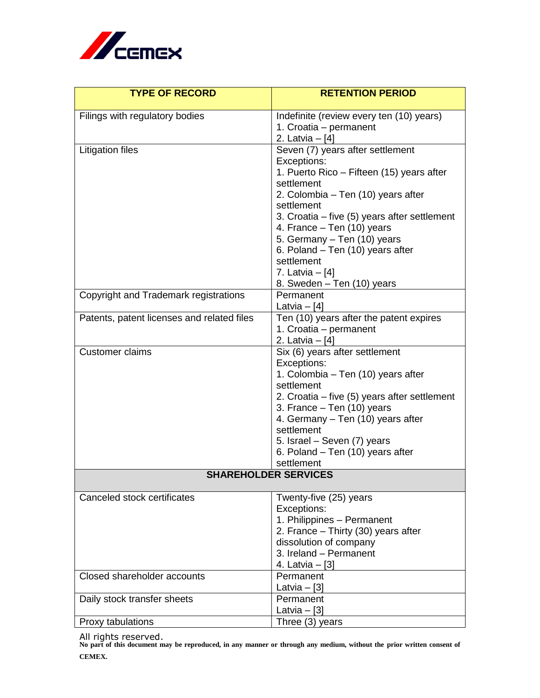

| <b>TYPE OF RECORD</b>                      | <b>RETENTION PERIOD</b>                       |
|--------------------------------------------|-----------------------------------------------|
| Filings with regulatory bodies             | Indefinite (review every ten (10) years)      |
|                                            | 1. Croatia - permanent                        |
|                                            | 2. Latvia $-[4]$                              |
| <b>Litigation files</b>                    | Seven (7) years after settlement              |
|                                            | Exceptions:                                   |
|                                            | 1. Puerto Rico – Fifteen (15) years after     |
|                                            | settlement                                    |
|                                            | 2. Colombia - Ten (10) years after            |
|                                            | settlement                                    |
|                                            | 3. Croatia - five (5) years after settlement  |
|                                            | 4. France - Ten (10) years                    |
|                                            | 5. Germany - Ten (10) years                   |
|                                            | 6. Poland - Ten (10) years after              |
|                                            | settlement                                    |
|                                            | 7. Latvia $-$ [4]                             |
|                                            | 8. Sweden - Ten (10) years                    |
| Copyright and Trademark registrations      | Permanent                                     |
|                                            | Latvia $-$ [4]                                |
| Patents, patent licenses and related files | Ten (10) years after the patent expires       |
|                                            | 1. Croatia – permanent                        |
| <b>Customer claims</b>                     | 2. Latvia - [4]                               |
|                                            | Six (6) years after settlement<br>Exceptions: |
|                                            | 1. Colombia – Ten (10) years after            |
|                                            | settlement                                    |
|                                            | 2. Croatia - five (5) years after settlement  |
|                                            | 3. France – Ten (10) years                    |
|                                            | 4. Germany – Ten (10) years after             |
|                                            | settlement                                    |
|                                            | 5. Israel - Seven (7) years                   |
|                                            | 6. Poland – Ten (10) years after              |
|                                            | settlement                                    |
| <b>SHAREHOLDER SERVICES</b>                |                                               |
| Canceled stock certificates                | Twenty-five (25) years                        |
|                                            | Exceptions:                                   |
|                                            | 1. Philippines - Permanent                    |
|                                            | 2. France - Thirty (30) years after           |
|                                            | dissolution of company                        |
|                                            | 3. Ireland - Permanent                        |
|                                            | 4. Latvia - [3]                               |
| Closed shareholder accounts                | Permanent                                     |
|                                            | Latvia $-$ [3]                                |
| Daily stock transfer sheets                | Permanent                                     |
|                                            | Latvia $-$ [3]                                |
| Proxy tabulations                          | Three (3) years                               |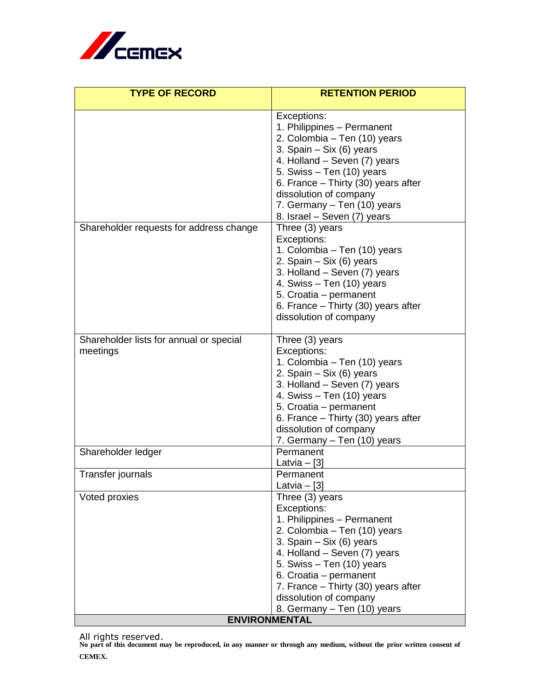

| <b>TYPE OF RECORD</b>                   | <b>RETENTION PERIOD</b>             |
|-----------------------------------------|-------------------------------------|
|                                         | Exceptions:                         |
|                                         | 1. Philippines - Permanent          |
|                                         | 2. Colombia - Ten (10) years        |
|                                         | 3. Spain - Six (6) years            |
|                                         | 4. Holland - Seven (7) years        |
|                                         | 5. Swiss - Ten (10) years           |
|                                         | 6. France - Thirty (30) years after |
|                                         | dissolution of company              |
|                                         | 7. Germany - Ten (10) years         |
|                                         | 8. Israel – Seven (7) years         |
| Shareholder requests for address change | Three (3) years                     |
|                                         | Exceptions:                         |
|                                         | 1. Colombia – Ten (10) years        |
|                                         | 2. Spain - Six (6) years            |
|                                         | 3. Holland - Seven (7) years        |
|                                         | 4. Swiss - Ten (10) years           |
|                                         | 5. Croatia - permanent              |
|                                         | 6. France - Thirty (30) years after |
|                                         | dissolution of company              |
| Shareholder lists for annual or special | Three (3) years                     |
| meetings                                | Exceptions:                         |
|                                         | 1. Colombia – Ten (10) years        |
|                                         | 2. Spain $-$ Six (6) years          |
|                                         | 3. Holland - Seven (7) years        |
|                                         | 4. Swiss - Ten (10) years           |
|                                         | 5. Croatia - permanent              |
|                                         | 6. France - Thirty (30) years after |
|                                         | dissolution of company              |
|                                         | 7. Germany - Ten (10) years         |
| Shareholder ledger                      | Permanent                           |
|                                         | Latvia – $[3]$                      |
| Transfer journals                       | Permanent                           |
| Voted proxies                           | Latvia $-[3]$<br>Three (3) years    |
|                                         | Exceptions:                         |
|                                         | 1. Philippines - Permanent          |
|                                         | 2. Colombia - Ten (10) years        |
|                                         | 3. Spain $-$ Six (6) years          |
|                                         | 4. Holland - Seven (7) years        |
|                                         | 5. Swiss - Ten (10) years           |
|                                         | 6. Croatia - permanent              |
|                                         | 7. France - Thirty (30) years after |
|                                         | dissolution of company              |
|                                         | 8. Germany – Ten (10) years         |
| <b>ENVIRONMENTAL</b>                    |                                     |